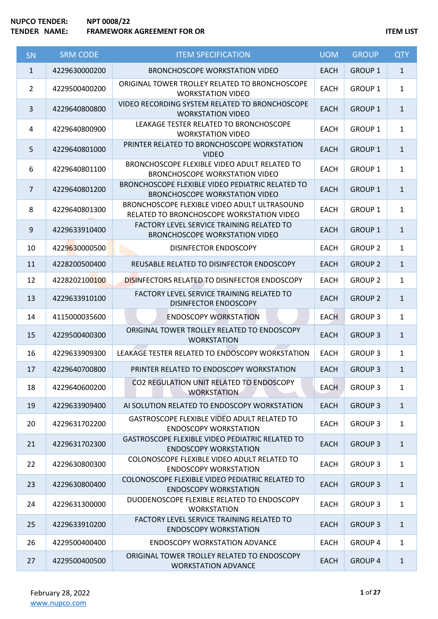# **NUPCO TENDER: NPT 0008/22 TEMP IS A FRAMEWORK AGREEMENT FOR OR ITEM LIST**

| <b>SN</b>      | <b>SRM CODE</b> | <b>ITEM SPECIFICATION</b>                                                                 | <b>UOM</b>  | <b>GROUP</b>   | <b>QTY</b>   |
|----------------|-----------------|-------------------------------------------------------------------------------------------|-------------|----------------|--------------|
| $\mathbf{1}$   | 4229630000200   | <b>BRONCHOSCOPE WORKSTATION VIDEO</b>                                                     | <b>EACH</b> | <b>GROUP 1</b> | $\mathbf{1}$ |
| $\overline{2}$ | 4229500400200   | ORIGINAL TOWER TROLLEY RELATED TO BRONCHOSCOPE<br><b>WORKSTATION VIDEO</b>                | <b>EACH</b> | <b>GROUP 1</b> | $\mathbf{1}$ |
| 3              | 4229640800800   | VIDEO RECORDING SYSTEM RELATED TO BRONCHOSCOPE<br><b>WORKSTATION VIDEO</b>                | <b>EACH</b> | <b>GROUP 1</b> | $\mathbf{1}$ |
| 4              | 4229640800900   | LEAKAGE TESTER RELATED TO BRONCHOSCOPE<br><b>WORKSTATION VIDEO</b>                        | <b>EACH</b> | <b>GROUP 1</b> | $\mathbf{1}$ |
| 5              | 4229640801000   | PRINTER RELATED TO BRONCHOSCOPE WORKSTATION<br><b>VIDEO</b>                               | <b>EACH</b> | <b>GROUP 1</b> | $\mathbf{1}$ |
| 6              | 4229640801100   | BRONCHOSCOPE FLEXIBLE VIDEO ADULT RELATED TO<br><b>BRONCHOSCOPE WORKSTATION VIDEO</b>     | <b>EACH</b> | <b>GROUP 1</b> | $\mathbf{1}$ |
| $\overline{7}$ | 4229640801200   | BRONCHOSCOPE FLEXIBLE VIDEO PEDIATRIC RELATED TO<br><b>BRONCHOSCOPE WORKSTATION VIDEO</b> | <b>EACH</b> | <b>GROUP 1</b> | $\mathbf{1}$ |
| 8              | 4229640801300   | BRONCHOSCOPE FLEXIBLE VIDEO ADULT ULTRASOUND<br>RELATED TO BRONCHOSCOPE WORKSTATION VIDEO | <b>EACH</b> | <b>GROUP 1</b> | $\mathbf{1}$ |
| 9              | 4229633910400   | FACTORY LEVEL SERVICE TRAINING RELATED TO<br><b>BRONCHOSCOPE WORKSTATION VIDEO</b>        | <b>EACH</b> | <b>GROUP 1</b> | $\mathbf{1}$ |
| 10             | 4229630000500   | <b>DISINFECTOR ENDOSCOPY</b>                                                              | <b>EACH</b> | <b>GROUP 2</b> | $\mathbf{1}$ |
| 11             | 4228200500400   | REUSABLE RELATED TO DISINFECTOR ENDOSCOPY                                                 | <b>EACH</b> | <b>GROUP 2</b> | $\mathbf{1}$ |
| 12             | 4228202100100   | <b>DISINFECTORS RELATED TO DISINFECTOR ENDOSCOPY</b>                                      | <b>EACH</b> | <b>GROUP 2</b> | $\mathbf{1}$ |
| 13             | 4229633910100   | FACTORY LEVEL SERVICE TRAINING RELATED TO<br><b>DISINFECTOR ENDOSCOPY</b>                 | <b>EACH</b> | <b>GROUP 2</b> | $\mathbf{1}$ |
| 14             | 4115000035600   | <b>ENDOSCOPY WORKSTATION</b>                                                              | <b>EACH</b> | <b>GROUP 3</b> | $\mathbf{1}$ |
| 15             | 4229500400300   | ORIGINAL TOWER TROLLEY RELATED TO ENDOSCOPY<br><b>WORKSTATION</b>                         | <b>EACH</b> | <b>GROUP 3</b> | $\mathbf{1}$ |
| 16             | 4229633909300   | LEAKAGE TESTER RELATED TO ENDOSCOPY WORKSTATION                                           | <b>EACH</b> | <b>GROUP 3</b> | $\mathbf{1}$ |
| 17             | 4229640700800   | PRINTER RELATED TO ENDOSCOPY WORKSTATION                                                  | <b>EACH</b> | <b>GROUP 3</b> | $\mathbf{1}$ |
| 18             | 4229640600200   | CO2 REGULATION UNIT RELATED TO ENDOSCOPY<br><b>WORKSTATION</b>                            | <b>EACH</b> | <b>GROUP 3</b> | $\mathbf{1}$ |
| 19             | 4229633909400   | AI SOLUTION RELATED TO ENDOSCOPY WORKSTATION                                              | <b>EACH</b> | <b>GROUP 3</b> | $\mathbf{1}$ |
| 20             | 4229631702200   | GASTROSCOPE FLEXIBLE VIDEO ADULT RELATED TO<br><b>ENDOSCOPY WORKSTATION</b>               | <b>EACH</b> | <b>GROUP 3</b> | $\mathbf{1}$ |
| 21             | 4229631702300   | GASTROSCOPE FLEXIBLE VIDEO PEDIATRIC RELATED TO<br><b>ENDOSCOPY WORKSTATION</b>           | <b>EACH</b> | <b>GROUP 3</b> | $\mathbf{1}$ |
| 22             | 4229630800300   | COLONOSCOPE FLEXIBLE VIDEO ADULT RELATED TO<br><b>ENDOSCOPY WORKSTATION</b>               | <b>EACH</b> | <b>GROUP 3</b> | $\mathbf{1}$ |
| 23             | 4229630800400   | COLONOSCOPE FLEXIBLE VIDEO PEDIATRIC RELATED TO<br><b>ENDOSCOPY WORKSTATION</b>           | <b>EACH</b> | <b>GROUP 3</b> | $\mathbf{1}$ |
| 24             | 4229631300000   | DUODENOSCOPE FLEXIBLE RELATED TO ENDOSCOPY<br><b>WORKSTATION</b>                          | <b>EACH</b> | <b>GROUP 3</b> | $\mathbf{1}$ |
| 25             | 4229633910200   | FACTORY LEVEL SERVICE TRAINING RELATED TO<br><b>ENDOSCOPY WORKSTATION</b>                 | <b>EACH</b> | <b>GROUP 3</b> | $\mathbf{1}$ |
| 26             | 4229500400400   | <b>ENDOSCOPY WORKSTATION ADVANCE</b>                                                      | <b>EACH</b> | <b>GROUP 4</b> | $\mathbf{1}$ |
| 27             | 4229500400500   | ORIGINAL TOWER TROLLEY RELATED TO ENDOSCOPY<br><b>WORKSTATION ADVANCE</b>                 | <b>EACH</b> | <b>GROUP 4</b> | $\mathbf{1}$ |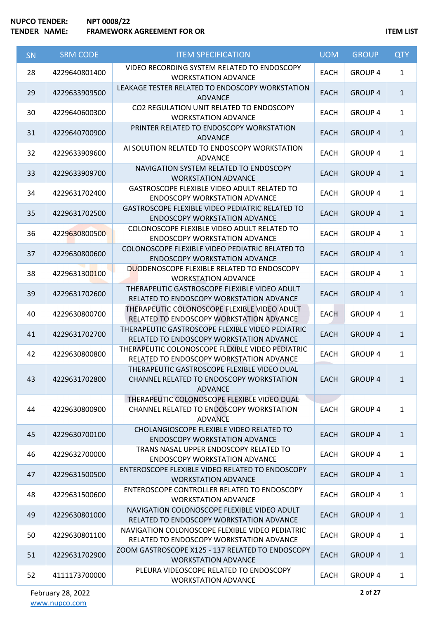| <b>SN</b> | <b>SRM CODE</b> | <b>ITEM SPECIFICATION</b>                                                                                 | <b>UOM</b>  | <b>GROUP</b>   | <b>QTY</b>   |
|-----------|-----------------|-----------------------------------------------------------------------------------------------------------|-------------|----------------|--------------|
| 28        | 4229640801400   | VIDEO RECORDING SYSTEM RELATED TO ENDOSCOPY<br><b>WORKSTATION ADVANCE</b>                                 | <b>EACH</b> | <b>GROUP 4</b> | $\mathbf{1}$ |
| 29        | 4229633909500   | LEAKAGE TESTER RELATED TO ENDOSCOPY WORKSTATION<br><b>ADVANCE</b>                                         | <b>EACH</b> | <b>GROUP 4</b> | $\mathbf{1}$ |
| 30        | 4229640600300   | CO2 REGULATION UNIT RELATED TO ENDOSCOPY<br><b>WORKSTATION ADVANCE</b>                                    | <b>EACH</b> | <b>GROUP 4</b> | $\mathbf{1}$ |
| 31        | 4229640700900   | PRINTER RELATED TO ENDOSCOPY WORKSTATION<br><b>ADVANCE</b>                                                | <b>EACH</b> | <b>GROUP 4</b> | $\mathbf{1}$ |
| 32        | 4229633909600   | AI SOLUTION RELATED TO ENDOSCOPY WORKSTATION<br><b>ADVANCE</b>                                            | <b>EACH</b> | <b>GROUP 4</b> | $\mathbf{1}$ |
| 33        | 4229633909700   | NAVIGATION SYSTEM RELATED TO ENDOSCOPY<br><b>WORKSTATION ADVANCE</b>                                      | <b>EACH</b> | <b>GROUP 4</b> | $\mathbf{1}$ |
| 34        | 4229631702400   | GASTROSCOPE FLEXIBLE VIDEO ADULT RELATED TO<br><b>ENDOSCOPY WORKSTATION ADVANCE</b>                       | <b>EACH</b> | <b>GROUP 4</b> | $\mathbf{1}$ |
| 35        | 4229631702500   | GASTROSCOPE FLEXIBLE VIDEO PEDIATRIC RELATED TO<br><b>ENDOSCOPY WORKSTATION ADVANCE</b>                   | <b>EACH</b> | <b>GROUP 4</b> | $\mathbf{1}$ |
| 36        | 4229630800500   | COLONOSCOPE FLEXIBLE VIDEO ADULT RELATED TO<br><b>ENDOSCOPY WORKSTATION ADVANCE</b>                       | <b>EACH</b> | <b>GROUP 4</b> | $\mathbf{1}$ |
| 37        | 4229630800600   | COLONOSCOPE FLEXIBLE VIDEO PEDIATRIC RELATED TO<br><b>ENDOSCOPY WORKSTATION ADVANCE</b>                   | <b>EACH</b> | <b>GROUP 4</b> | $\mathbf{1}$ |
| 38        | 4229631300100   | DUODENOSCOPE FLEXIBLE RELATED TO ENDOSCOPY<br><b>WORKSTATION ADVANCE</b>                                  | <b>EACH</b> | <b>GROUP 4</b> | $\mathbf{1}$ |
| 39        | 4229631702600   | THERAPEUTIC GASTROSCOPE FLEXIBLE VIDEO ADULT<br>RELATED TO ENDOSCOPY WORKSTATION ADVANCE                  | <b>EACH</b> | <b>GROUP 4</b> | $\mathbf{1}$ |
| 40        | 4229630800700   | THERAPEUTIC COLONOSCOPE FLEXIBLE VIDEO ADULT<br>RELATED TO ENDOSCOPY WORKSTATION ADVANCE                  | <b>EACH</b> | <b>GROUP 4</b> | $\mathbf{1}$ |
| 41        | 4229631702700   | THERAPEUTIC GASTROSCOPE FLEXIBLE VIDEO PEDIATRIC<br>RELATED TO ENDOSCOPY WORKSTATION ADVANCE              | <b>EACH</b> | <b>GROUP 4</b> | $\mathbf{1}$ |
| 42        | 4229630800800   | THERAPEUTIC COLONOSCOPE FLEXIBLE VIDEO PEDIATRIC<br>RELATED TO ENDOSCOPY WORKSTATION ADVANCE              | <b>EACH</b> | <b>GROUP 4</b> | $\mathbf{1}$ |
| 43        | 4229631702800   | THERAPEUTIC GASTROSCOPE FLEXIBLE VIDEO DUAL<br>CHANNEL RELATED TO ENDOSCOPY WORKSTATION<br><b>ADVANCE</b> | EACH        | GROUP 4        | 1            |
| 44        | 4229630800900   | THERAPEUTIC COLONOSCOPE FLEXIBLE VIDEO DUAL<br>CHANNEL RELATED TO ENDOSCOPY WORKSTATION<br><b>ADVANCE</b> | <b>EACH</b> | <b>GROUP 4</b> | $\mathbf{1}$ |
| 45        | 4229630700100   | CHOLANGIOSCOPE FLEXIBLE VIDEO RELATED TO<br><b>ENDOSCOPY WORKSTATION ADVANCE</b>                          | <b>EACH</b> | <b>GROUP 4</b> | $\mathbf{1}$ |
| 46        | 4229632700000   | TRANS NASAL UPPER ENDOSCOPY RELATED TO<br><b>ENDOSCOPY WORKSTATION ADVANCE</b>                            | <b>EACH</b> | <b>GROUP 4</b> | $\mathbf{1}$ |
| 47        | 4229631500500   | ENTEROSCOPE FLEXIBLE VIDEO RELATED TO ENDOSCOPY<br><b>WORKSTATION ADVANCE</b>                             | <b>EACH</b> | <b>GROUP 4</b> | $\mathbf{1}$ |
| 48        | 4229631500600   | ENTEROSCOPE CONTROLLER RELATED TO ENDOSCOPY<br><b>WORKSTATION ADVANCE</b>                                 | <b>EACH</b> | <b>GROUP 4</b> | $\mathbf{1}$ |
| 49        | 4229630801000   | NAVIGATION COLONOSCOPE FLEXIBLE VIDEO ADULT<br>RELATED TO ENDOSCOPY WORKSTATION ADVANCE                   | <b>EACH</b> | <b>GROUP 4</b> | $\mathbf{1}$ |
| 50        | 4229630801100   | NAVIGATION COLONOSCOPE FLEXIBLE VIDEO PEDIATRIC<br>RELATED TO ENDOSCOPY WORKSTATION ADVANCE               | <b>EACH</b> | <b>GROUP 4</b> | $\mathbf{1}$ |
| 51        | 4229631702900   | ZOOM GASTROSCOPE X125 - 137 RELATED TO ENDOSCOPY<br><b>WORKSTATION ADVANCE</b>                            | <b>EACH</b> | <b>GROUP 4</b> | $\mathbf{1}$ |
| 52        | 4111173700000   | PLEURA VIDEOSCOPE RELATED TO ENDOSCOPY<br><b>WORKSTATION ADVANCE</b>                                      | <b>EACH</b> | <b>GROUP 4</b> | $\mathbf{1}$ |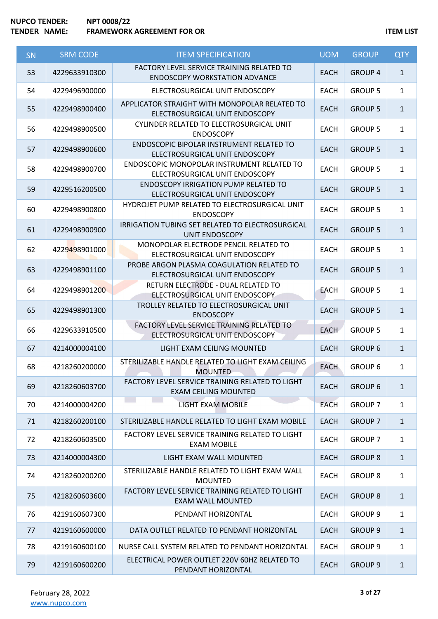| SN | <b>SRM CODE</b> | <b>ITEM SPECIFICATION</b>                                                         | <b>UOM</b>  | <b>GROUP</b>   | <b>QTY</b>   |
|----|-----------------|-----------------------------------------------------------------------------------|-------------|----------------|--------------|
| 53 | 4229633910300   | FACTORY LEVEL SERVICE TRAINING RELATED TO<br><b>ENDOSCOPY WORKSTATION ADVANCE</b> | <b>EACH</b> | <b>GROUP 4</b> | $\mathbf{1}$ |
| 54 | 4229496900000   | ELECTROSURGICAL UNIT ENDOSCOPY                                                    | <b>EACH</b> | <b>GROUP 5</b> | $\mathbf{1}$ |
| 55 | 4229498900400   | APPLICATOR STRAIGHT WITH MONOPOLAR RELATED TO<br>ELECTROSURGICAL UNIT ENDOSCOPY   | <b>EACH</b> | <b>GROUP 5</b> | $\mathbf{1}$ |
| 56 | 4229498900500   | CYLINDER RELATED TO ELECTROSURGICAL UNIT<br><b>ENDOSCOPY</b>                      | <b>EACH</b> | <b>GROUP 5</b> | $\mathbf{1}$ |
| 57 | 4229498900600   | ENDOSCOPIC BIPOLAR INSTRUMENT RELATED TO<br>ELECTROSURGICAL UNIT ENDOSCOPY        | <b>EACH</b> | <b>GROUP 5</b> | $\mathbf{1}$ |
| 58 | 4229498900700   | ENDOSCOPIC MONOPOLAR INSTRUMENT RELATED TO<br>ELECTROSURGICAL UNIT ENDOSCOPY      | <b>EACH</b> | <b>GROUP 5</b> | $\mathbf{1}$ |
| 59 | 4229516200500   | <b>ENDOSCOPY IRRIGATION PUMP RELATED TO</b><br>ELECTROSURGICAL UNIT ENDOSCOPY     | <b>EACH</b> | <b>GROUP 5</b> | $\mathbf{1}$ |
| 60 | 4229498900800   | HYDROJET PUMP RELATED TO ELECTROSURGICAL UNIT<br><b>ENDOSCOPY</b>                 | <b>EACH</b> | <b>GROUP 5</b> | $\mathbf{1}$ |
| 61 | 4229498900900   | <b>IRRIGATION TUBING SET RELATED TO ELECTROSURGICAL</b><br><b>UNIT ENDOSCOPY</b>  | <b>EACH</b> | <b>GROUP 5</b> | $\mathbf{1}$ |
| 62 | 4229498901000   | MONOPOLAR ELECTRODE PENCIL RELATED TO<br>ELECTROSURGICAL UNIT ENDOSCOPY           | <b>EACH</b> | <b>GROUP 5</b> | $\mathbf{1}$ |
| 63 | 4229498901100   | PROBE ARGON PLASMA COAGULATION RELATED TO<br>ELECTROSURGICAL UNIT ENDOSCOPY       | <b>EACH</b> | <b>GROUP 5</b> | $\mathbf{1}$ |
| 64 | 4229498901200   | RETURN ELECTRODE - DUAL RELATED TO<br>ELECTROSURGICAL UNIT ENDOSCOPY              | <b>EACH</b> | <b>GROUP 5</b> | $\mathbf{1}$ |
| 65 | 4229498901300   | TROLLEY RELATED TO ELECTROSURGICAL UNIT<br><b>ENDOSCOPY</b>                       | <b>EACH</b> | <b>GROUP 5</b> | $\mathbf{1}$ |
| 66 | 4229633910500   | FACTORY LEVEL SERVICE TRAINING RELATED TO<br>ELECTROSURGICAL UNIT ENDOSCOPY       | <b>EACH</b> | <b>GROUP 5</b> | $\mathbf{1}$ |
| 67 | 4214000004100   | LIGHT EXAM CEILING MOUNTED                                                        | <b>EACH</b> | <b>GROUP 6</b> | $\mathbf{1}$ |
| 68 | 4218260200000   | STERILIZABLE HANDLE RELATED TO LIGHT EXAM CEILING<br><b>MOUNTED</b>               | <b>EACH</b> | <b>GROUP 6</b> | $\mathbf{1}$ |
| 69 | 4218260603700   | FACTORY LEVEL SERVICE TRAINING RELATED TO LIGHT<br><b>EXAM CEILING MOUNTED</b>    | <b>EACH</b> | <b>GROUP 6</b> | $\mathbf{1}$ |
| 70 | 4214000004200   | LIGHT EXAM MOBILE                                                                 | <b>EACH</b> | <b>GROUP 7</b> | $\mathbf{1}$ |
| 71 | 4218260200100   | STERILIZABLE HANDLE RELATED TO LIGHT EXAM MOBILE                                  | <b>EACH</b> | <b>GROUP 7</b> | $\mathbf{1}$ |
| 72 | 4218260603500   | FACTORY LEVEL SERVICE TRAINING RELATED TO LIGHT<br><b>EXAM MOBILE</b>             | <b>EACH</b> | <b>GROUP 7</b> | $\mathbf{1}$ |
| 73 | 4214000004300   | LIGHT EXAM WALL MOUNTED                                                           | <b>EACH</b> | <b>GROUP 8</b> | $\mathbf{1}$ |
| 74 | 4218260200200   | STERILIZABLE HANDLE RELATED TO LIGHT EXAM WALL<br><b>MOUNTED</b>                  | <b>EACH</b> | <b>GROUP 8</b> | $\mathbf{1}$ |
| 75 | 4218260603600   | FACTORY LEVEL SERVICE TRAINING RELATED TO LIGHT<br><b>EXAM WALL MOUNTED</b>       | <b>EACH</b> | <b>GROUP 8</b> | $\mathbf{1}$ |
| 76 | 4219160607300   | PENDANT HORIZONTAL                                                                | <b>EACH</b> | <b>GROUP 9</b> | $\mathbf{1}$ |
| 77 | 4219160600000   | DATA OUTLET RELATED TO PENDANT HORIZONTAL                                         | <b>EACH</b> | <b>GROUP 9</b> | $\mathbf{1}$ |
| 78 | 4219160600100   | NURSE CALL SYSTEM RELATED TO PENDANT HORIZONTAL                                   | <b>EACH</b> | <b>GROUP 9</b> | $\mathbf{1}$ |
| 79 | 4219160600200   | ELECTRICAL POWER OUTLET 220V 60HZ RELATED TO<br>PENDANT HORIZONTAL                | <b>EACH</b> | <b>GROUP 9</b> | $\mathbf{1}$ |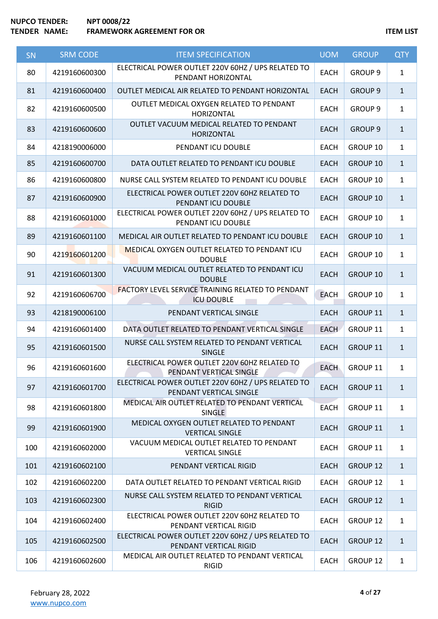| SN  | <b>SRM CODE</b> | <b>ITEM SPECIFICATION</b>                                                     | <b>UOM</b>  | <b>GROUP</b>       | <b>QTY</b>   |
|-----|-----------------|-------------------------------------------------------------------------------|-------------|--------------------|--------------|
| 80  | 4219160600300   | ELECTRICAL POWER OUTLET 220V 60HZ / UPS RELATED TO<br>PENDANT HORIZONTAL      | <b>EACH</b> | <b>GROUP 9</b>     | $\mathbf{1}$ |
| 81  | 4219160600400   | OUTLET MEDICAL AIR RELATED TO PENDANT HORIZONTAL                              | <b>EACH</b> | <b>GROUP 9</b>     | $\mathbf{1}$ |
| 82  | 4219160600500   | OUTLET MEDICAL OXYGEN RELATED TO PENDANT<br><b>HORIZONTAL</b>                 | <b>EACH</b> | GROUP <sub>9</sub> | $\mathbf{1}$ |
| 83  | 4219160600600   | OUTLET VACUUM MEDICAL RELATED TO PENDANT<br><b>HORIZONTAL</b>                 | <b>EACH</b> | <b>GROUP 9</b>     | $\mathbf{1}$ |
| 84  | 4218190006000   | PENDANT ICU DOUBLE                                                            | <b>EACH</b> | GROUP 10           | $\mathbf{1}$ |
| 85  | 4219160600700   | DATA OUTLET RELATED TO PENDANT ICU DOUBLE                                     | <b>EACH</b> | GROUP 10           | $\mathbf{1}$ |
| 86  | 4219160600800   | NURSE CALL SYSTEM RELATED TO PENDANT ICU DOUBLE                               | <b>EACH</b> | GROUP 10           | $\mathbf{1}$ |
| 87  | 4219160600900   | ELECTRICAL POWER OUTLET 220V 60HZ RELATED TO<br>PENDANT ICU DOUBLE            | <b>EACH</b> | GROUP 10           | $\mathbf{1}$ |
| 88  | 4219160601000   | ELECTRICAL POWER OUTLET 220V 60HZ / UPS RELATED TO<br>PENDANT ICU DOUBLE      | <b>EACH</b> | GROUP 10           | $\mathbf{1}$ |
| 89  | 4219160601100   | MEDICAL AIR OUTLET RELATED TO PENDANT ICU DOUBLE                              | <b>EACH</b> | GROUP 10           | $\mathbf{1}$ |
| 90  | 4219160601200   | <b>MEDICAL OXYGEN OUTLET RELATED TO PENDANT ICU</b><br><b>DOUBLE</b>          | <b>EACH</b> | GROUP 10           | $\mathbf{1}$ |
| 91  | 4219160601300   | VACUUM MEDICAL OUTLET RELATED TO PENDANT ICU<br><b>DOUBLE</b>                 | <b>EACH</b> | GROUP 10           | $\mathbf{1}$ |
| 92  | 4219160606700   | <b>FACTORY LEVEL SERVICE TRAINING RELATED TO PENDANT</b><br><b>ICU DOUBLE</b> | <b>EACH</b> | GROUP 10           | $\mathbf{1}$ |
| 93  | 4218190006100   | PENDANT VERTICAL SINGLE                                                       | <b>EACH</b> | GROUP 11           | $\mathbf{1}$ |
| 94  | 4219160601400   | DATA OUTLET RELATED TO PENDANT VERTICAL SINGLE                                | <b>EACH</b> | GROUP 11           | $\mathbf{1}$ |
| 95  | 4219160601500   | NURSE CALL SYSTEM RELATED TO PENDANT VERTICAL<br><b>SINGLE</b>                | <b>EACH</b> | GROUP 11           | $\mathbf{1}$ |
| 96  | 4219160601600   | ELECTRICAL POWER OUTLET 220V 60HZ RELATED TO<br>PENDANT VERTICAL SINGLE       | <b>EACH</b> | GROUP 11           | $\mathbf{1}$ |
| 97  | 4219160601700   | ELECTRICAL POWER OUTLET 220V 60HZ / UPS RELATED TO<br>PENDANT VERTICAL SINGLE | <b>EACH</b> | GROUP 11           | $\mathbf{1}$ |
| 98  | 4219160601800   | MEDICAL AIR OUTLET RELATED TO PENDANT VERTICAL<br><b>SINGLE</b>               | <b>EACH</b> | GROUP 11           | $\mathbf{1}$ |
| 99  | 4219160601900   | MEDICAL OXYGEN OUTLET RELATED TO PENDANT<br><b>VERTICAL SINGLE</b>            | <b>EACH</b> | GROUP 11           | $\mathbf{1}$ |
| 100 | 4219160602000   | VACUUM MEDICAL OUTLET RELATED TO PENDANT<br><b>VERTICAL SINGLE</b>            | <b>EACH</b> | GROUP 11           | $\mathbf{1}$ |
| 101 | 4219160602100   | PENDANT VERTICAL RIGID                                                        | <b>EACH</b> | <b>GROUP 12</b>    | $\mathbf{1}$ |
| 102 | 4219160602200   | DATA OUTLET RELATED TO PENDANT VERTICAL RIGID                                 | <b>EACH</b> | GROUP 12           | $\mathbf{1}$ |
| 103 | 4219160602300   | NURSE CALL SYSTEM RELATED TO PENDANT VERTICAL<br><b>RIGID</b>                 | <b>EACH</b> | <b>GROUP 12</b>    | $\mathbf{1}$ |
| 104 | 4219160602400   | ELECTRICAL POWER OUTLET 220V 60HZ RELATED TO<br>PENDANT VERTICAL RIGID        | <b>EACH</b> | GROUP 12           | $\mathbf{1}$ |
| 105 | 4219160602500   | ELECTRICAL POWER OUTLET 220V 60HZ / UPS RELATED TO<br>PENDANT VERTICAL RIGID  | <b>EACH</b> | <b>GROUP 12</b>    | $\mathbf{1}$ |
| 106 | 4219160602600   | MEDICAL AIR OUTLET RELATED TO PENDANT VERTICAL<br><b>RIGID</b>                | <b>EACH</b> | GROUP 12           | $\mathbf{1}$ |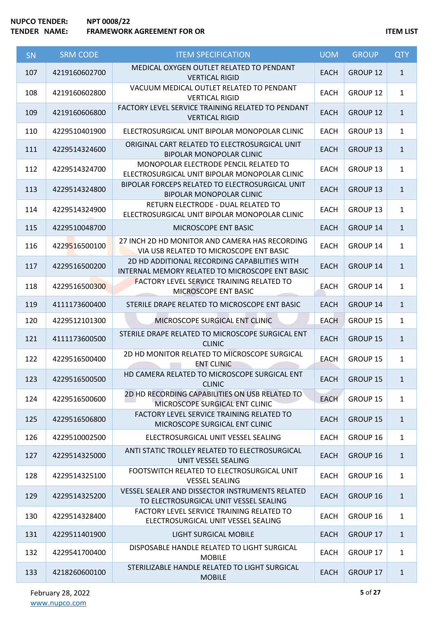| <b>SN</b> | <b>SRM CODE</b> | <b>ITEM SPECIFICATION</b>                                                                       | <b>UOM</b>  | <b>GROUP</b>        | <b>QTY</b>   |
|-----------|-----------------|-------------------------------------------------------------------------------------------------|-------------|---------------------|--------------|
| 107       | 4219160602700   | MEDICAL OXYGEN OUTLET RELATED TO PENDANT<br><b>VERTICAL RIGID</b>                               | <b>EACH</b> | GROUP 12            | $\mathbf{1}$ |
| 108       | 4219160602800   | VACUUM MEDICAL OUTLET RELATED TO PENDANT<br><b>VERTICAL RIGID</b>                               | <b>EACH</b> | GROUP <sub>12</sub> | $\mathbf{1}$ |
| 109       | 4219160606800   | FACTORY LEVEL SERVICE TRAINING RELATED TO PENDANT<br><b>VERTICAL RIGID</b>                      | <b>EACH</b> | <b>GROUP 12</b>     | $\mathbf{1}$ |
| 110       | 4229510401900   | ELECTROSURGICAL UNIT BIPOLAR MONOPOLAR CLINIC                                                   | <b>EACH</b> | GROUP 13            | $\mathbf{1}$ |
| 111       | 4229514324600   | ORIGINAL CART RELATED TO ELECTROSURGICAL UNIT<br><b>BIPOLAR MONOPOLAR CLINIC</b>                | <b>EACH</b> | <b>GROUP 13</b>     | $\mathbf{1}$ |
| 112       | 4229514324700   | MONOPOLAR ELECTRODE PENCIL RELATED TO<br>ELECTROSURGICAL UNIT BIPOLAR MONOPOLAR CLINIC          | <b>EACH</b> | GROUP 13            | $\mathbf{1}$ |
| 113       | 4229514324800   | BIPOLAR FORCEPS RELATED TO ELECTROSURGICAL UNIT<br><b>BIPOLAR MONOPOLAR CLINIC</b>              | <b>EACH</b> | <b>GROUP 13</b>     | $\mathbf{1}$ |
| 114       | 4229514324900   | RETURN ELECTRODE - DUAL RELATED TO<br>ELECTROSURGICAL UNIT BIPOLAR MONOPOLAR CLINIC             | <b>EACH</b> | GROUP 13            | $\mathbf{1}$ |
| 115       | 4229510048700   | MICROSCOPE ENT BASIC                                                                            | <b>EACH</b> | <b>GROUP 14</b>     | $\mathbf{1}$ |
| 116       | 4229516500100   | 27 INCH 2D HD MONITOR AND CAMERA HAS RECORDING<br>VIA USB RELATED TO MICROSCOPE ENT BASIC       | EACH        | GROUP 14            | $\mathbf{1}$ |
| 117       | 4229516500200   | 2D HD ADDITIONAL RECORDING CAPABILITIES WITH<br>INTERNAL MEMORY RELATED TO MICROSCOPE ENT BASIC | <b>EACH</b> | <b>GROUP 14</b>     | $\mathbf{1}$ |
| 118       | 4229516500300   | <b>FACTORY LEVEL SERVICE TRAINING RELATED TO</b><br>MICROSCOPE ENT BASIC                        | <b>EACH</b> | GROUP 14            | $\mathbf{1}$ |
| 119       | 4111173600400   | STERILE DRAPE RELATED TO MICROSCOPE ENT BASIC                                                   | <b>EACH</b> | GROUP 14            | $\mathbf{1}$ |
| 120       | 4229512101300   | MICROSCOPE SURGICAL ENT CLINIC                                                                  | <b>EACH</b> | GROUP 15            | $\mathbf{1}$ |
| 121       | 4111173600500   | STERILE DRAPE RELATED TO MICROSCOPE SURGICAL ENT<br><b>CLINIC</b>                               | <b>EACH</b> | GROUP 15            | $\mathbf{1}$ |
| 122       | 4229516500400   | 2D HD MONITOR RELATED TO MICROSCOPE SURGICAL<br><b>ENT CLINIC</b>                               | <b>EACH</b> | GROUP 15            | $\mathbf{1}$ |
| 123       | 4229516500500   | HD CAMERA RELATED TO MICROSCOPE SURGICAL ENT<br><b>CLINIC</b>                                   | EACH        | <b>GROUP 15</b>     | 1            |
| 124       | 4229516500600   | 2D HD RECORDING CAPABILITIES ON USB RELATED TO<br>MICROSCOPE SURGICAL ENT CLINIC                | <b>EACH</b> | GROUP 15            | $\mathbf{1}$ |
| 125       | 4229516506800   | FACTORY LEVEL SERVICE TRAINING RELATED TO<br>MICROSCOPE SURGICAL ENT CLINIC                     | <b>EACH</b> | <b>GROUP 15</b>     | $\mathbf{1}$ |
| 126       | 4229510002500   | ELECTROSURGICAL UNIT VESSEL SEALING                                                             | <b>EACH</b> | GROUP 16            | $\mathbf{1}$ |
| 127       | 4229514325000   | ANTI STATIC TROLLEY RELATED TO ELECTROSURGICAL<br>UNIT VESSEL SEALING                           | <b>EACH</b> | GROUP 16            | $\mathbf{1}$ |
| 128       | 4229514325100   | FOOTSWITCH RELATED TO ELECTROSURGICAL UNIT<br><b>VESSEL SEALING</b>                             | <b>EACH</b> | GROUP 16            | $\mathbf{1}$ |
| 129       | 4229514325200   | VESSEL SEALER AND DISSECTOR INSTRUMENTS RELATED<br>TO ELECTROSURGICAL UNIT VESSEL SEALING       | <b>EACH</b> | GROUP 16            | $\mathbf{1}$ |
| 130       | 4229514328400   | FACTORY LEVEL SERVICE TRAINING RELATED TO<br>ELECTROSURGICAL UNIT VESSEL SEALING                | EACH        | GROUP 16            | $\mathbf{1}$ |
| 131       | 4229511401900   | <b>LIGHT SURGICAL MOBILE</b>                                                                    | <b>EACH</b> | GROUP 17            | $\mathbf{1}$ |
| 132       | 4229541700400   | DISPOSABLE HANDLE RELATED TO LIGHT SURGICAL<br><b>MOBILE</b>                                    | <b>EACH</b> | GROUP 17            | $\mathbf{1}$ |
| 133       | 4218260600100   | STERILIZABLE HANDLE RELATED TO LIGHT SURGICAL<br><b>MOBILE</b>                                  | <b>EACH</b> | <b>GROUP 17</b>     | $\mathbf{1}$ |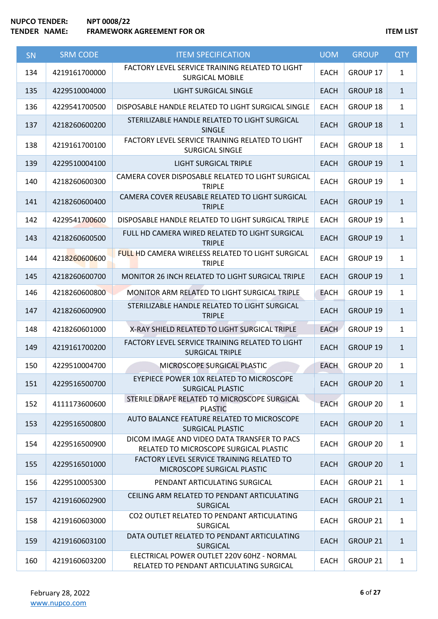| <b>SN</b> | <b>SRM CODE</b> | <b>ITEM SPECIFICATION</b>                                                              | <b>UOM</b>  | <b>GROUP</b>    | <b>QTY</b>   |
|-----------|-----------------|----------------------------------------------------------------------------------------|-------------|-----------------|--------------|
| 134       | 4219161700000   | FACTORY LEVEL SERVICE TRAINING RELATED TO LIGHT<br><b>SURGICAL MOBILE</b>              | <b>EACH</b> | GROUP 17        | $\mathbf{1}$ |
| 135       | 4229510004000   | <b>LIGHT SURGICAL SINGLE</b>                                                           | <b>EACH</b> | GROUP 18        | $\mathbf{1}$ |
| 136       | 4229541700500   | DISPOSABLE HANDLE RELATED TO LIGHT SURGICAL SINGLE                                     | <b>EACH</b> | GROUP 18        | $\mathbf{1}$ |
| 137       | 4218260600200   | STERILIZABLE HANDLE RELATED TO LIGHT SURGICAL<br><b>SINGLE</b>                         | <b>EACH</b> | <b>GROUP 18</b> | $\mathbf{1}$ |
| 138       | 4219161700100   | FACTORY LEVEL SERVICE TRAINING RELATED TO LIGHT<br><b>SURGICAL SINGLE</b>              | <b>EACH</b> | GROUP 18        | $\mathbf{1}$ |
| 139       | 4229510004100   | <b>LIGHT SURGICAL TRIPLE</b>                                                           | <b>EACH</b> | GROUP 19        | $\mathbf{1}$ |
| 140       | 4218260600300   | CAMERA COVER DISPOSABLE RELATED TO LIGHT SURGICAL<br><b>TRIPLE</b>                     | <b>EACH</b> | GROUP 19        | $\mathbf{1}$ |
| 141       | 4218260600400   | CAMERA COVER REUSABLE RELATED TO LIGHT SURGICAL<br><b>TRIPLE</b>                       | <b>EACH</b> | <b>GROUP 19</b> | $\mathbf{1}$ |
| 142       | 4229541700600   | DISPOSABLE HANDLE RELATED TO LIGHT SURGICAL TRIPLE                                     | <b>EACH</b> | GROUP 19        | $\mathbf{1}$ |
| 143       | 4218260600500   | FULL HD CAMERA WIRED RELATED TO LIGHT SURGICAL<br><b>TRIPLE</b>                        | <b>EACH</b> | <b>GROUP 19</b> | $\mathbf{1}$ |
| 144       | 4218260600600   | FULL HD CAMERA WIRELESS RELATED TO LIGHT SURGICAL<br><b>TRIPLE</b>                     | <b>EACH</b> | GROUP 19        | $\mathbf{1}$ |
| 145       | 4218260600700   | <b>MONITOR 26 INCH RELATED TO LIGHT SURGICAL TRIPLE</b>                                | <b>EACH</b> | <b>GROUP 19</b> | $\mathbf{1}$ |
| 146       | 4218260600800   | MONITOR ARM RELATED TO LIGHT SURGICAL TRIPLE                                           | <b>EACH</b> | GROUP 19        | $\mathbf{1}$ |
| 147       | 4218260600900   | STERILIZABLE HANDLE RELATED TO LIGHT SURGICAL<br><b>TRIPLE</b>                         | <b>EACH</b> | GROUP 19        | $\mathbf{1}$ |
| 148       | 4218260601000   | X-RAY SHIELD RELATED TO LIGHT SURGICAL TRIPLE                                          | <b>EACH</b> | GROUP 19        | $\mathbf{1}$ |
| 149       | 4219161700200   | FACTORY LEVEL SERVICE TRAINING RELATED TO LIGHT<br><b>SURGICAL TRIPLE</b>              | <b>EACH</b> | GROUP 19        | $\mathbf{1}$ |
| 150       | 4229510004700   | MICROSCOPE SURGICAL PLASTIC                                                            | <b>EACH</b> | GROUP 20        | $\mathbf{1}$ |
| 151       | 4229516500700   | EYEPIECE POWER 10X RELATED TO MICROSCOPE<br><b>SURGICAL PLASTIC</b>                    | <b>EACH</b> | GROUP 20        | $\mathbf{1}$ |
| 152       | 4111173600600   | STERILE DRAPE RELATED TO MICROSCOPE SURGICAL<br><b>PLASTIC</b>                         | <b>EACH</b> | GROUP 20        | $\mathbf{1}$ |
| 153       | 4229516500800   | AUTO BALANCE FEATURE RELATED TO MICROSCOPE<br>SURGICAL PLASTIC                         | <b>EACH</b> | <b>GROUP 20</b> | $\mathbf{1}$ |
| 154       | 4229516500900   | DICOM IMAGE AND VIDEO DATA TRANSFER TO PACS<br>RELATED TO MICROSCOPE SURGICAL PLASTIC  | <b>EACH</b> | GROUP 20        | $\mathbf{1}$ |
| 155       | 4229516501000   | FACTORY LEVEL SERVICE TRAINING RELATED TO<br>MICROSCOPE SURGICAL PLASTIC               | EACH        | <b>GROUP 20</b> | $\mathbf{1}$ |
| 156       | 4229510005300   | PENDANT ARTICULATING SURGICAL                                                          | EACH        | GROUP 21        | $\mathbf{1}$ |
| 157       | 4219160602900   | CEILING ARM RELATED TO PENDANT ARTICULATING<br><b>SURGICAL</b>                         | <b>EACH</b> | GROUP 21        | $\mathbf{1}$ |
| 158       | 4219160603000   | CO2 OUTLET RELATED TO PENDANT ARTICULATING<br>SURGICAL                                 | <b>EACH</b> | GROUP 21        | $\mathbf{1}$ |
| 159       | 4219160603100   | DATA OUTLET RELATED TO PENDANT ARTICULATING<br><b>SURGICAL</b>                         | <b>EACH</b> | <b>GROUP 21</b> | $\mathbf{1}$ |
| 160       | 4219160603200   | ELECTRICAL POWER OUTLET 220V 60HZ - NORMAL<br>RELATED TO PENDANT ARTICULATING SURGICAL | <b>EACH</b> | GROUP 21        | $\mathbf{1}$ |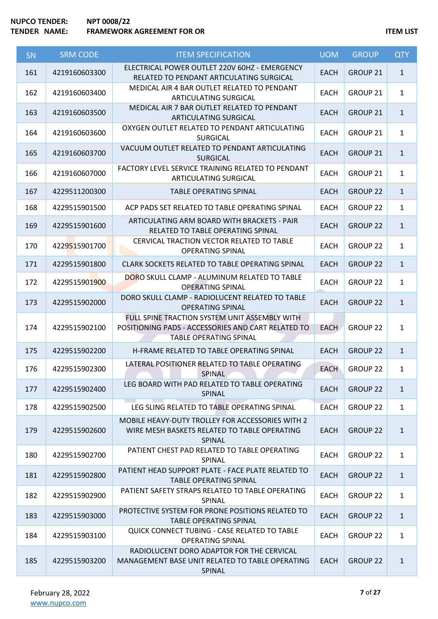| SN  | <b>SRM CODE</b> | <b>ITEM SPECIFICATION</b>                                                                                                            | <b>UOM</b>  | <b>GROUP</b>    | <b>QTY</b>   |
|-----|-----------------|--------------------------------------------------------------------------------------------------------------------------------------|-------------|-----------------|--------------|
| 161 | 4219160603300   | ELECTRICAL POWER OUTLET 220V 60HZ - EMERGENCY<br>RELATED TO PENDANT ARTICULATING SURGICAL                                            | <b>EACH</b> | <b>GROUP 21</b> | $\mathbf{1}$ |
| 162 | 4219160603400   | MEDICAL AIR 4 BAR OUTLET RELATED TO PENDANT<br>ARTICULATING SURGICAL                                                                 | <b>EACH</b> | <b>GROUP 21</b> | $\mathbf{1}$ |
| 163 | 4219160603500   | MEDICAL AIR 7 BAR OUTLET RELATED TO PENDANT<br>ARTICULATING SURGICAL                                                                 | <b>EACH</b> | GROUP 21        | $\mathbf{1}$ |
| 164 | 4219160603600   | OXYGEN OUTLET RELATED TO PENDANT ARTICULATING<br><b>SURGICAL</b>                                                                     | <b>EACH</b> | <b>GROUP 21</b> | $\mathbf{1}$ |
| 165 | 4219160603700   | VACUUM OUTLET RELATED TO PENDANT ARTICULATING<br><b>SURGICAL</b>                                                                     | <b>EACH</b> | GROUP 21        | $\mathbf{1}$ |
| 166 | 4219160607000   | FACTORY LEVEL SERVICE TRAINING RELATED TO PENDANT<br>ARTICULATING SURGICAL                                                           | <b>EACH</b> | <b>GROUP 21</b> | $\mathbf{1}$ |
| 167 | 4229511200300   | TABLE OPERATING SPINAL                                                                                                               | <b>EACH</b> | <b>GROUP 22</b> | $\mathbf{1}$ |
| 168 | 4229515901500   | ACP PADS SET RELATED TO TABLE OPERATING SPINAL                                                                                       | <b>EACH</b> | <b>GROUP 22</b> | $\mathbf{1}$ |
| 169 | 4229515901600   | ARTICULATING ARM BOARD WITH BRACKETS - PAIR<br>RELATED TO TABLE OPERATING SPINAL                                                     | <b>EACH</b> | <b>GROUP 22</b> | $\mathbf{1}$ |
| 170 | 4229515901700   | CERVICAL TRACTION VECTOR RELATED TO TABLE<br><b>OPERATING SPINAL</b>                                                                 | <b>EACH</b> | <b>GROUP 22</b> | $\mathbf{1}$ |
| 171 | 4229515901800   | CLARK SOCKETS RELATED TO TABLE OPERATING SPINAL                                                                                      | <b>EACH</b> | <b>GROUP 22</b> | $\mathbf{1}$ |
| 172 | 4229515901900   | DORO SKULL CLAMP - ALUMINUM RELATED TO TABLE<br><b>OPERATING SPINAL</b>                                                              | <b>EACH</b> | <b>GROUP 22</b> | $\mathbf{1}$ |
| 173 | 4229515902000   | DORO SKULL CLAMP - RADIOLUCENT RELATED TO TABLE<br><b>OPERATING SPINAL</b>                                                           | <b>EACH</b> | <b>GROUP 22</b> | $\mathbf{1}$ |
| 174 | 4229515902100   | FULL SPINE TRACTION SYSTEM UNIT ASSEMBLY WITH<br>POSITIONING PADS - ACCESSORIES AND CART RELATED TO<br><b>TABLE OPERATING SPINAL</b> | <b>EACH</b> | <b>GROUP 22</b> | $\mathbf{1}$ |
| 175 | 4229515902200   | H-FRAME RELATED TO TABLE OPERATING SPINAL                                                                                            | <b>EACH</b> | <b>GROUP 22</b> | $\mathbf{1}$ |
| 176 | 4229515902300   | LATERAL POSITIONER RELATED TO TABLE OPERATING<br>SPINAL                                                                              | <b>EACH</b> | <b>GROUP 22</b> | $\mathbf{1}$ |
| 177 | 4229515902400   | LEG BOARD WITH PAD RELATED TO TABLE OPERATING<br>SPINAL                                                                              | <b>EACH</b> | <b>GROUP 22</b> | $\mathbf{1}$ |
| 178 | 4229515902500   | <b>Contractor</b><br>LEG SLING RELATED TO TABLE OPERATING SPINAL                                                                     | <b>EACH</b> | <b>GROUP 22</b> | $\mathbf{1}$ |
| 179 | 4229515902600   | MOBILE HEAVY-DUTY TROLLEY FOR ACCESSORIES WITH 2<br>WIRE MESH BASKETS RELATED TO TABLE OPERATING<br><b>SPINAL</b>                    | <b>EACH</b> | <b>GROUP 22</b> | $\mathbf{1}$ |
| 180 | 4229515902700   | PATIENT CHEST PAD RELATED TO TABLE OPERATING<br>SPINAL                                                                               | <b>EACH</b> | <b>GROUP 22</b> | $\mathbf{1}$ |
| 181 | 4229515902800   | PATIENT HEAD SUPPORT PLATE - FACE PLATE RELATED TO<br><b>TABLE OPERATING SPINAL</b>                                                  | <b>EACH</b> | <b>GROUP 22</b> | $\mathbf{1}$ |
| 182 | 4229515902900   | PATIENT SAFETY STRAPS RELATED TO TABLE OPERATING<br>SPINAL                                                                           | <b>EACH</b> | GROUP 22        | $\mathbf{1}$ |
| 183 | 4229515903000   | PROTECTIVE SYSTEM FOR PRONE POSITIONS RELATED TO<br>TABLE OPERATING SPINAL                                                           | <b>EACH</b> | <b>GROUP 22</b> | $\mathbf{1}$ |
| 184 | 4229515903100   | <b>QUICK CONNECT TUBING - CASE RELATED TO TABLE</b><br><b>OPERATING SPINAL</b>                                                       | <b>EACH</b> | GROUP 22        | $\mathbf{1}$ |
| 185 | 4229515903200   | RADIOLUCENT DORO ADAPTOR FOR THE CERVICAL<br>MANAGEMENT BASE UNIT RELATED TO TABLE OPERATING<br>SPINAL                               | <b>EACH</b> | <b>GROUP 22</b> | $\mathbf{1}$ |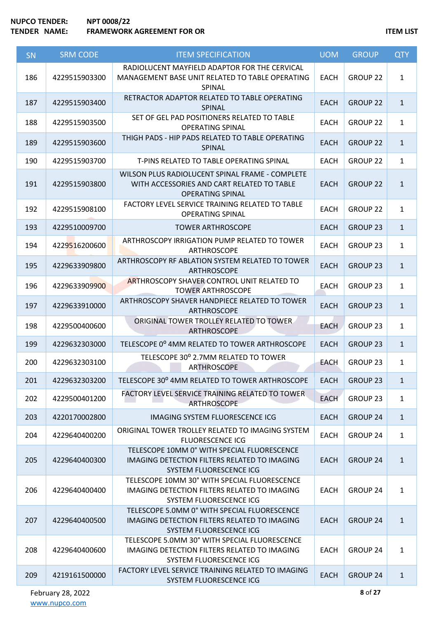| <b>SN</b> | <b>SRM CODE</b> | <b>ITEM SPECIFICATION</b>                                                                                                     | <b>UOM</b>  | <b>GROUP</b>        | <b>QTY</b>   |
|-----------|-----------------|-------------------------------------------------------------------------------------------------------------------------------|-------------|---------------------|--------------|
| 186       | 4229515903300   | RADIOLUCENT MAYFIELD ADAPTOR FOR THE CERVICAL<br>MANAGEMENT BASE UNIT RELATED TO TABLE OPERATING<br>SPINAL                    | <b>EACH</b> | GROUP 22            | $\mathbf{1}$ |
| 187       | 4229515903400   | RETRACTOR ADAPTOR RELATED TO TABLE OPERATING<br>SPINAL                                                                        | <b>EACH</b> | <b>GROUP 22</b>     | $\mathbf{1}$ |
| 188       | 4229515903500   | SET OF GEL PAD POSITIONERS RELATED TO TABLE<br><b>OPERATING SPINAL</b>                                                        | <b>EACH</b> | <b>GROUP 22</b>     | $\mathbf{1}$ |
| 189       | 4229515903600   | THIGH PADS - HIP PADS RELATED TO TABLE OPERATING<br>SPINAL                                                                    | <b>EACH</b> | <b>GROUP 22</b>     | $\mathbf{1}$ |
| 190       | 4229515903700   | T-PINS RELATED TO TABLE OPERATING SPINAL                                                                                      | <b>EACH</b> | <b>GROUP 22</b>     | $\mathbf{1}$ |
| 191       | 4229515903800   | WILSON PLUS RADIOLUCENT SPINAL FRAME - COMPLETE<br>WITH ACCESSORIES AND CART RELATED TO TABLE<br><b>OPERATING SPINAL</b>      | <b>EACH</b> | <b>GROUP 22</b>     | $\mathbf{1}$ |
| 192       | 4229515908100   | FACTORY LEVEL SERVICE TRAINING RELATED TO TABLE<br><b>OPERATING SPINAL</b>                                                    | <b>EACH</b> | <b>GROUP 22</b>     | $\mathbf{1}$ |
| 193       | 4229510009700   | <b>TOWER ARTHROSCOPE</b>                                                                                                      | <b>EACH</b> | <b>GROUP 23</b>     | $\mathbf{1}$ |
| 194       | 4229516200600   | ARTHROSCOPY IRRIGATION PUMP RELATED TO TOWER<br>ARTHROSCOPE                                                                   | <b>EACH</b> | <b>GROUP 23</b>     | $\mathbf{1}$ |
| 195       | 4229633909800   | ARTHROSCOPY RF ABLATION SYSTEM RELATED TO TOWER<br>ARTHROSCOPE                                                                | <b>EACH</b> | <b>GROUP 23</b>     | $\mathbf{1}$ |
| 196       | 4229633909900   | <b>ARTHROSCOPY SHAVER CONTROL UNIT RELATED TO</b><br><b>TOWER ARTHROSCOPE</b>                                                 | <b>EACH</b> | GROUP <sub>23</sub> | $\mathbf{1}$ |
| 197       | 4229633910000   | ARTHROSCOPY SHAVER HANDPIECE RELATED TO TOWER<br>ARTHROSCOPE                                                                  | <b>EACH</b> | <b>GROUP 23</b>     | $\mathbf{1}$ |
| 198       | 4229500400600   | ORIGINAL TOWER TROLLEY RELATED TO TOWER<br>ARTHROSCOPE                                                                        | <b>EACH</b> | GROUP <sub>23</sub> | $\mathbf{1}$ |
| 199       | 4229632303000   | TELESCOPE 0° 4MM RELATED TO TOWER ARTHROSCOPE                                                                                 | <b>EACH</b> | <b>GROUP 23</b>     | $\mathbf{1}$ |
| 200       | 4229632303100   | TELESCOPE 30° 2.7MM RELATED TO TOWER<br><b>ARTHROSCOPE</b>                                                                    | <b>EACH</b> | GROUP <sub>23</sub> | $\mathbf{1}$ |
| 201       | 4229632303200   | TELESCOPE 30° 4MM RELATED TO TOWER ARTHROSCOPE                                                                                | <b>EACH</b> | <b>GROUP 23</b>     | $\mathbf{1}$ |
| 202       | 4229500401200   | <b>FACTORY LEVEL SERVICE TRAINING RELATED TO TOWER</b><br>ARTHROSCOPE                                                         | <b>EACH</b> | <b>GROUP 23</b>     | $\mathbf{1}$ |
| 203       | 4220170002800   | <b>IMAGING SYSTEM FLUORESCENCE ICG</b>                                                                                        | <b>EACH</b> | GROUP 24            | $\mathbf{1}$ |
| 204       | 4229640400200   | ORIGINAL TOWER TROLLEY RELATED TO IMAGING SYSTEM<br><b>FLUORESCENCE ICG</b>                                                   | <b>EACH</b> | GROUP 24            | $\mathbf{1}$ |
| 205       | 4229640400300   | TELESCOPE 10MM 0° WITH SPECIAL FLUORESCENCE<br><b>IMAGING DETECTION FILTERS RELATED TO IMAGING</b><br>SYSTEM FLUORESCENCE ICG | <b>EACH</b> | <b>GROUP 24</b>     | $\mathbf{1}$ |
| 206       | 4229640400400   | TELESCOPE 10MM 30° WITH SPECIAL FLUORESCENCE<br>IMAGING DETECTION FILTERS RELATED TO IMAGING<br>SYSTEM FLUORESCENCE ICG       | EACH        | GROUP 24            | $\mathbf{1}$ |
| 207       | 4229640400500   | TELESCOPE 5.0MM 0° WITH SPECIAL FLUORESCENCE<br>IMAGING DETECTION FILTERS RELATED TO IMAGING<br>SYSTEM FLUORESCENCE ICG       | <b>EACH</b> | <b>GROUP 24</b>     | $\mathbf{1}$ |
| 208       | 4229640400600   | TELESCOPE 5.0MM 30° WITH SPECIAL FLUORESCENCE<br>IMAGING DETECTION FILTERS RELATED TO IMAGING<br>SYSTEM FLUORESCENCE ICG      | <b>EACH</b> | GROUP 24            | $\mathbf{1}$ |
| 209       | 4219161500000   | FACTORY LEVEL SERVICE TRAINING RELATED TO IMAGING<br>SYSTEM FLUORESCENCE ICG                                                  | <b>EACH</b> | GROUP 24            | $\mathbf{1}$ |

February 28, 2022 [www.nupco.com](http://www.nupco.com/)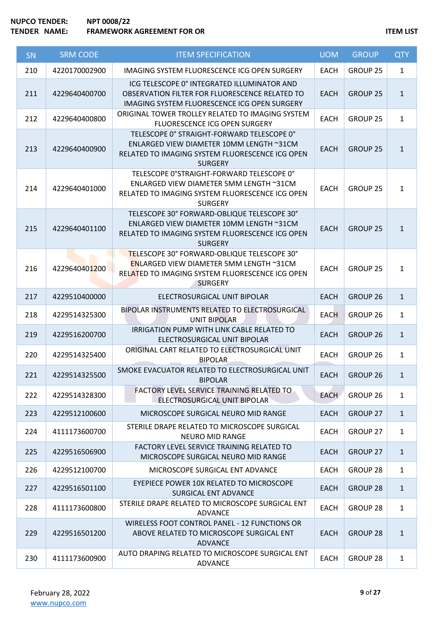| SN  | <b>SRM CODE</b> | <b>ITEM SPECIFICATION</b>                                                                                                                                          | <b>UOM</b>  | <b>GROUP</b>        | <b>QTY</b>   |
|-----|-----------------|--------------------------------------------------------------------------------------------------------------------------------------------------------------------|-------------|---------------------|--------------|
| 210 | 4220170002900   | IMAGING SYSTEM FLUORESCENCE ICG OPEN SURGERY                                                                                                                       | <b>EACH</b> | GROUP <sub>25</sub> | $\mathbf{1}$ |
| 211 | 4229640400700   | ICG TELESCOPE 0° INTEGRATED ILLUMINATOR AND<br>OBSERVATION FILTER FOR FLUORESCENCE RELATED TO<br>IMAGING SYSTEM FLUORESCENCE ICG OPEN SURGERY                      | <b>EACH</b> | <b>GROUP 25</b>     | $\mathbf{1}$ |
| 212 | 4229640400800   | ORIGINAL TOWER TROLLEY RELATED TO IMAGING SYSTEM<br>FLUORESCENCE ICG OPEN SURGERY                                                                                  | <b>EACH</b> | GROUP <sub>25</sub> | $\mathbf{1}$ |
| 213 | 4229640400900   | TELESCOPE 0° STRAIGHT-FORWARD TELESCOPE 0°<br>ENLARGED VIEW DIAMETER 10MM LENGTH ~31CM<br>RELATED TO IMAGING SYSTEM FLUORESCENCE ICG OPEN<br><b>SURGERY</b>        | <b>EACH</b> | <b>GROUP 25</b>     | $\mathbf{1}$ |
| 214 | 4229640401000   | TELESCOPE 0°STRAIGHT-FORWARD TELESCOPE 0°<br>ENLARGED VIEW DIAMETER 5MM LENGTH ~31CM<br>RELATED TO IMAGING SYSTEM FLUORESCENCE ICG OPEN<br><b>SURGERY</b>          | <b>EACH</b> | <b>GROUP 25</b>     | $\mathbf{1}$ |
| 215 | 4229640401100   | TELESCOPE 30° FORWARD-OBLIQUE TELESCOPE 30°<br>ENLARGED VIEW DIAMETER 10MM LENGTH ~31CM<br>RELATED TO IMAGING SYSTEM FLUORESCENCE ICG OPEN<br><b>SURGERY</b>       | <b>EACH</b> | <b>GROUP 25</b>     | $\mathbf{1}$ |
| 216 | 4229640401200   | TELESCOPE 30° FORWARD-OBLIQUE TELESCOPE 30°<br><b>ENLARGED VIEW DIAMETER 5MM LENGTH ~31CM</b><br>RELATED TO IMAGING SYSTEM FLUORESCENCE ICG OPEN<br><b>SURGERY</b> | <b>EACH</b> | <b>GROUP 25</b>     | $\mathbf{1}$ |
| 217 | 4229510400000   | ELECTROSURGICAL UNIT BIPOLAR                                                                                                                                       | <b>EACH</b> | <b>GROUP 26</b>     | $\mathbf{1}$ |
| 218 | 4229514325300   | BIPOLAR INSTRUMENTS RELATED TO ELECTROSURGICAL<br><b>UNIT BIPOLAR</b>                                                                                              | <b>EACH</b> | GROUP <sub>26</sub> | $\mathbf{1}$ |
| 219 | 4229516200700   | IRRIGATION PUMP WITH LINK CABLE RELATED TO<br>ELECTROSURGICAL UNIT BIPOLAR                                                                                         | <b>EACH</b> | <b>GROUP 26</b>     | $\mathbf{1}$ |
| 220 | 4229514325400   | ORIGINAL CART RELATED TO ELECTROSURGICAL UNIT<br><b>BIPOLAR</b>                                                                                                    | <b>EACH</b> | GROUP <sub>26</sub> | $\mathbf{1}$ |
| 221 | 4229514325500   | SMOKE EVACUATOR RELATED TO ELECTROSURGICAL UNIT<br><b>BIPOLAR</b>                                                                                                  | <b>EACH</b> | GROUP 26            | 1            |
| 222 | 4229514328300   | FACTORY LEVEL SERVICE TRAINING RELATED TO<br>ELECTROSURGICAL UNIT BIPOLAR                                                                                          | <b>EACH</b> | GROUP 26            | $\mathbf{1}$ |
| 223 | 4229512100600   | MICROSCOPE SURGICAL NEURO MID RANGE                                                                                                                                | <b>EACH</b> | <b>GROUP 27</b>     | $\mathbf{1}$ |
| 224 | 4111173600700   | STERILE DRAPE RELATED TO MICROSCOPE SURGICAL<br><b>NEURO MID RANGE</b>                                                                                             | <b>EACH</b> | GROUP 27            | $\mathbf{1}$ |
| 225 | 4229516506900   | FACTORY LEVEL SERVICE TRAINING RELATED TO<br>MICROSCOPE SURGICAL NEURO MID RANGE                                                                                   | <b>EACH</b> | <b>GROUP 27</b>     | $\mathbf{1}$ |
| 226 | 4229512100700   | MICROSCOPE SURGICAL ENT ADVANCE                                                                                                                                    | <b>EACH</b> | GROUP 28            | $\mathbf{1}$ |
| 227 | 4229516501100   | EYEPIECE POWER 10X RELATED TO MICROSCOPE<br>SURGICAL ENT ADVANCE                                                                                                   | <b>EACH</b> | <b>GROUP 28</b>     | $\mathbf{1}$ |
| 228 | 4111173600800   | STERILE DRAPE RELATED TO MICROSCOPE SURGICAL ENT<br><b>ADVANCE</b>                                                                                                 | EACH        | GROUP <sub>28</sub> | $\mathbf{1}$ |
| 229 | 4229516501200   | <b>WIRELESS FOOT CONTROL PANEL - 12 FUNCTIONS OR</b><br>ABOVE RELATED TO MICROSCOPE SURGICAL ENT<br><b>ADVANCE</b>                                                 | <b>EACH</b> | <b>GROUP 28</b>     | $\mathbf{1}$ |
| 230 | 4111173600900   | AUTO DRAPING RELATED TO MICROSCOPE SURGICAL ENT<br><b>ADVANCE</b>                                                                                                  | <b>EACH</b> | <b>GROUP 28</b>     | $\mathbf{1}$ |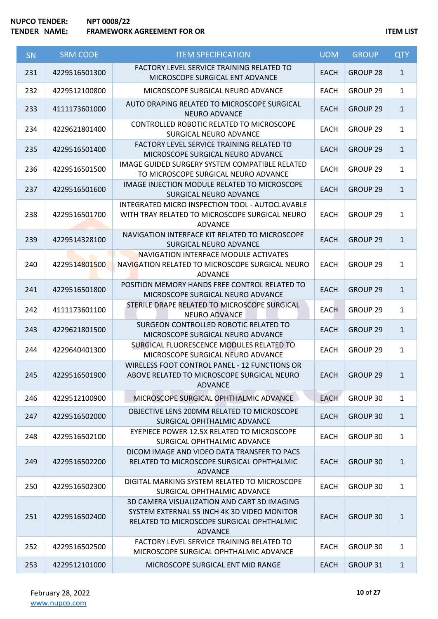| SN  | <b>SRM CODE</b> | <b>ITEM SPECIFICATION</b>                                                                                                                                 | <b>UOM</b>  | <b>GROUP</b>        | <b>QTY</b>   |
|-----|-----------------|-----------------------------------------------------------------------------------------------------------------------------------------------------------|-------------|---------------------|--------------|
| 231 | 4229516501300   | FACTORY LEVEL SERVICE TRAINING RELATED TO<br>MICROSCOPE SURGICAL ENT ADVANCE                                                                              | <b>EACH</b> | <b>GROUP 28</b>     | $\mathbf{1}$ |
| 232 | 4229512100800   | MICROSCOPE SURGICAL NEURO ADVANCE                                                                                                                         | <b>EACH</b> | GROUP 29            | $\mathbf{1}$ |
| 233 | 4111173601000   | AUTO DRAPING RELATED TO MICROSCOPE SURGICAL<br><b>NEURO ADVANCE</b>                                                                                       | <b>EACH</b> | <b>GROUP 29</b>     | $\mathbf{1}$ |
| 234 | 4229621801400   | CONTROLLED ROBOTIC RELATED TO MICROSCOPE<br>SURGICAL NEURO ADVANCE                                                                                        | <b>EACH</b> | <b>GROUP 29</b>     | $\mathbf{1}$ |
| 235 | 4229516501400   | FACTORY LEVEL SERVICE TRAINING RELATED TO<br>MICROSCOPE SURGICAL NEURO ADVANCE                                                                            | <b>EACH</b> | GROUP 29            | $\mathbf{1}$ |
| 236 | 4229516501500   | IMAGE GUIDED SURGERY SYSTEM COMPATIBLE RELATED<br>TO MICROSCOPE SURGICAL NEURO ADVANCE                                                                    | EACH        | GROUP <sub>29</sub> | $\mathbf{1}$ |
| 237 | 4229516501600   | IMAGE INJECTION MODULE RELATED TO MICROSCOPE<br>SURGICAL NEURO ADVANCE                                                                                    | <b>EACH</b> | <b>GROUP 29</b>     | $\mathbf{1}$ |
| 238 | 4229516501700   | INTEGRATED MICRO INSPECTION TOOL - AUTOCLAVABLE<br>WITH TRAY RELATED TO MICROSCOPE SURGICAL NEURO<br><b>ADVANCE</b>                                       | <b>EACH</b> | GROUP 29            | $\mathbf{1}$ |
| 239 | 4229514328100   | NAVIGATION INTERFACE KIT RELATED TO MICROSCOPE<br>SURGICAL NEURO ADVANCE                                                                                  | <b>EACH</b> | <b>GROUP 29</b>     | $\mathbf{1}$ |
| 240 | 4229514801500   | NAVIGATION INTERFACE MODULE ACTIVATES<br>NAVIGATION RELATED TO MICROSCOPE SURGICAL NEURO<br>ADVANCE                                                       | <b>EACH</b> | GROUP 29            | $\mathbf{1}$ |
| 241 | 4229516501800   | POSITION MEMORY HANDS FREE CONTROL RELATED TO<br>MICROSCOPE SURGICAL NEURO ADVANCE                                                                        | <b>EACH</b> | <b>GROUP 29</b>     | $\mathbf{1}$ |
| 242 | 4111173601100   | STERILE DRAPE RELATED TO MICROSCOPE SURGICAL<br><b>NEURO ADVANCE</b>                                                                                      | <b>EACH</b> | GROUP 29            | $\mathbf{1}$ |
| 243 | 4229621801500   | SURGEON CONTROLLED ROBOTIC RELATED TO<br>MICROSCOPE SURGICAL NEURO ADVANCE                                                                                | <b>EACH</b> | GROUP 29            | $\mathbf{1}$ |
| 244 | 4229640401300   | SURGICAL FLUORESCENCE MODULES RELATED TO<br>MICROSCOPE SURGICAL NEURO ADVANCE                                                                             | <b>EACH</b> | GROUP 29            | $\mathbf{1}$ |
| 245 | 4229516501900   | <b>WIRELESS FOOT CONTROL PANEL - 12 FUNCTIONS OR</b><br>ABOVE RELATED TO MICROSCOPE SURGICAL NEURO<br><b>ADVANCE</b>                                      | <b>EACH</b> | <b>GROUP 29</b>     | $\mathbf{1}$ |
| 246 | 4229512100900   | MICROSCOPE SURGICAL OPHTHALMIC ADVANCE                                                                                                                    | <b>EACH</b> | GROUP 30            | $\mathbf{1}$ |
| 247 | 4229516502000   | OBJECTIVE LENS 200MM RELATED TO MICROSCOPE<br>SURGICAL OPHTHALMIC ADVANCE                                                                                 | <b>EACH</b> | <b>GROUP 30</b>     | $\mathbf{1}$ |
| 248 | 4229516502100   | EYEPIECE POWER 12.5X RELATED TO MICROSCOPE<br>SURGICAL OPHTHALMIC ADVANCE                                                                                 | <b>EACH</b> | GROUP 30            | $\mathbf{1}$ |
| 249 | 4229516502200   | DICOM IMAGE AND VIDEO DATA TRANSFER TO PACS<br>RELATED TO MICROSCOPE SURGICAL OPHTHALMIC<br><b>ADVANCE</b>                                                | <b>EACH</b> | <b>GROUP 30</b>     | $\mathbf{1}$ |
| 250 | 4229516502300   | DIGITAL MARKING SYSTEM RELATED TO MICROSCOPE<br>SURGICAL OPHTHALMIC ADVANCE                                                                               | <b>EACH</b> | GROUP 30            | $\mathbf{1}$ |
| 251 | 4229516502400   | 3D CAMERA VISUALIZATION AND CART 3D IMAGING<br>SYSTEM EXTERNAL 55 INCH 4K 3D VIDEO MONITOR<br>RELATED TO MICROSCOPE SURGICAL OPHTHALMIC<br><b>ADVANCE</b> | <b>EACH</b> | <b>GROUP 30</b>     | $\mathbf{1}$ |
| 252 | 4229516502500   | FACTORY LEVEL SERVICE TRAINING RELATED TO<br>MICROSCOPE SURGICAL OPHTHALMIC ADVANCE                                                                       | <b>EACH</b> | GROUP 30            | $\mathbf{1}$ |
| 253 | 4229512101000   | MICROSCOPE SURGICAL ENT MID RANGE                                                                                                                         | <b>EACH</b> | <b>GROUP 31</b>     | $\mathbf{1}$ |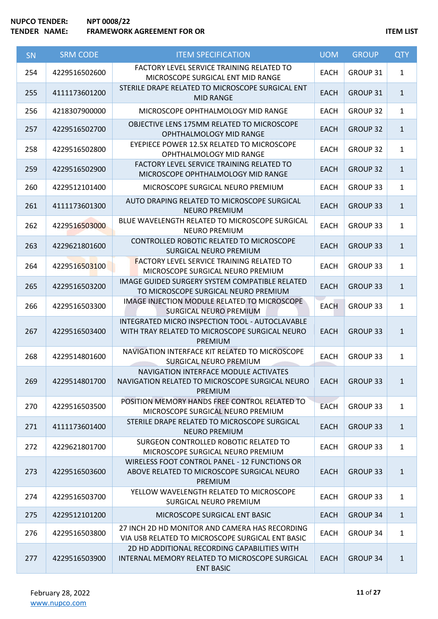| SN  | <b>SRM CODE</b> | <b>ITEM SPECIFICATION</b>                                                                                           | <b>UOM</b>  | <b>GROUP</b>    | <b>QTY</b>   |
|-----|-----------------|---------------------------------------------------------------------------------------------------------------------|-------------|-----------------|--------------|
| 254 | 4229516502600   | FACTORY LEVEL SERVICE TRAINING RELATED TO<br>MICROSCOPE SURGICAL ENT MID RANGE                                      | <b>EACH</b> | GROUP 31        | $\mathbf{1}$ |
| 255 | 4111173601200   | STERILE DRAPE RELATED TO MICROSCOPE SURGICAL ENT<br><b>MID RANGE</b>                                                | <b>EACH</b> | <b>GROUP 31</b> | $\mathbf{1}$ |
| 256 | 4218307900000   | MICROSCOPE OPHTHALMOLOGY MID RANGE                                                                                  | <b>EACH</b> | <b>GROUP 32</b> | $\mathbf{1}$ |
| 257 | 4229516502700   | OBJECTIVE LENS 175MM RELATED TO MICROSCOPE<br>OPHTHALMOLOGY MID RANGE                                               | <b>EACH</b> | <b>GROUP 32</b> | $\mathbf{1}$ |
| 258 | 4229516502800   | EYEPIECE POWER 12.5X RELATED TO MICROSCOPE<br>OPHTHALMOLOGY MID RANGE                                               | <b>EACH</b> | <b>GROUP 32</b> | $\mathbf{1}$ |
| 259 | 4229516502900   | FACTORY LEVEL SERVICE TRAINING RELATED TO<br>MICROSCOPE OPHTHALMOLOGY MID RANGE                                     | <b>EACH</b> | <b>GROUP 32</b> | $\mathbf{1}$ |
| 260 | 4229512101400   | MICROSCOPE SURGICAL NEURO PREMIUM                                                                                   | <b>EACH</b> | <b>GROUP 33</b> | $\mathbf{1}$ |
| 261 | 4111173601300   | AUTO DRAPING RELATED TO MICROSCOPE SURGICAL<br><b>NEURO PREMIUM</b>                                                 | <b>EACH</b> | <b>GROUP 33</b> | $\mathbf{1}$ |
| 262 | 4229516503000   | BLUE WAVELENGTH RELATED TO MICROSCOPE SURGICAL<br>NEURO PREMIUM                                                     | <b>EACH</b> | <b>GROUP 33</b> | $\mathbf{1}$ |
| 263 | 4229621801600   | CONTROLLED ROBOTIC RELATED TO MICROSCOPE<br>SURGICAL NEURO PREMIUM                                                  | <b>EACH</b> | <b>GROUP 33</b> | $\mathbf{1}$ |
| 264 | 4229516503100   | <b>FACTORY LEVEL SERVICE TRAINING RELATED TO</b><br>MICROSCOPE SURGICAL NEURO PREMIUM                               | <b>EACH</b> | <b>GROUP 33</b> | $\mathbf{1}$ |
| 265 | 4229516503200   | IMAGE GUIDED SURGERY SYSTEM COMPATIBLE RELATED<br>TO MICROSCOPE SURGICAL NEURO PREMIUM                              | <b>EACH</b> | <b>GROUP 33</b> | $\mathbf{1}$ |
| 266 | 4229516503300   | IMAGE INJECTION MODULE RELATED TO MICROSCOPE<br>SURGICAL NEURO PREMIUM                                              | <b>EACH</b> | GROUP 33        | $\mathbf{1}$ |
| 267 | 4229516503400   | INTEGRATED MICRO INSPECTION TOOL - AUTOCLAVABLE<br>WITH TRAY RELATED TO MICROSCOPE SURGICAL NEURO<br><b>PREMIUM</b> | <b>EACH</b> | <b>GROUP 33</b> | $\mathbf{1}$ |
| 268 | 4229514801600   | NAVIGATION INTERFACE KIT RELATED TO MICROSCOPE<br>SURGICAL NEURO PREMIUM                                            | <b>EACH</b> | GROUP 33        | $\mathbf{1}$ |
| 269 | 4229514801700   | NAVIGATION INTERFACE MODULE ACTIVATES<br>NAVIGATION RELATED TO MICROSCOPE SURGICAL NEURO<br><b>PREMIUM</b>          | <b>EACH</b> | <b>GROUP 33</b> | $\mathbf{1}$ |
| 270 | 4229516503500   | POSITION MEMORY HANDS FREE CONTROL RELATED TO<br>MICROSCOPE SURGICAL NEURO PREMIUM                                  | <b>EACH</b> | GROUP 33        | $\mathbf{1}$ |
| 271 | 4111173601400   | STERILE DRAPE RELATED TO MICROSCOPE SURGICAL<br><b>NEURO PREMIUM</b>                                                | <b>EACH</b> | <b>GROUP 33</b> | $\mathbf{1}$ |
| 272 | 4229621801700   | SURGEON CONTROLLED ROBOTIC RELATED TO<br>MICROSCOPE SURGICAL NEURO PREMIUM                                          | <b>EACH</b> | <b>GROUP 33</b> | $\mathbf{1}$ |
| 273 | 4229516503600   | <b>WIRELESS FOOT CONTROL PANEL - 12 FUNCTIONS OR</b><br>ABOVE RELATED TO MICROSCOPE SURGICAL NEURO<br>PREMIUM       | <b>EACH</b> | <b>GROUP 33</b> | $\mathbf{1}$ |
| 274 | 4229516503700   | YELLOW WAVELENGTH RELATED TO MICROSCOPE<br>SURGICAL NEURO PREMIUM                                                   | <b>EACH</b> | GROUP 33        | $\mathbf{1}$ |
| 275 | 4229512101200   | MICROSCOPE SURGICAL ENT BASIC                                                                                       | <b>EACH</b> | <b>GROUP 34</b> | $\mathbf{1}$ |
| 276 | 4229516503800   | 27 INCH 2D HD MONITOR AND CAMERA HAS RECORDING<br>VIA USB RELATED TO MICROSCOPE SURGICAL ENT BASIC                  | EACH        | <b>GROUP 34</b> | $\mathbf{1}$ |
| 277 | 4229516503900   | 2D HD ADDITIONAL RECORDING CAPABILITIES WITH<br>INTERNAL MEMORY RELATED TO MICROSCOPE SURGICAL<br><b>ENT BASIC</b>  | <b>EACH</b> | <b>GROUP 34</b> | $\mathbf{1}$ |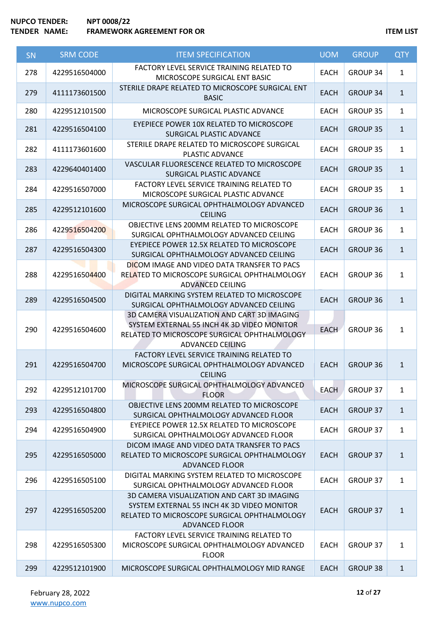| SN  | <b>SRM CODE</b> | <b>ITEM SPECIFICATION</b>                                                                                                                                             | <b>UOM</b>  | <b>GROUP</b>    | <b>QTY</b>   |
|-----|-----------------|-----------------------------------------------------------------------------------------------------------------------------------------------------------------------|-------------|-----------------|--------------|
| 278 | 4229516504000   | FACTORY LEVEL SERVICE TRAINING RELATED TO<br>MICROSCOPE SURGICAL ENT BASIC                                                                                            | <b>EACH</b> | GROUP 34        | $\mathbf{1}$ |
| 279 | 4111173601500   | STERILE DRAPE RELATED TO MICROSCOPE SURGICAL ENT<br><b>BASIC</b>                                                                                                      | <b>EACH</b> | <b>GROUP 34</b> | $\mathbf{1}$ |
| 280 | 4229512101500   | MICROSCOPE SURGICAL PLASTIC ADVANCE                                                                                                                                   | <b>EACH</b> | <b>GROUP 35</b> | $\mathbf{1}$ |
| 281 | 4229516504100   | EYEPIECE POWER 10X RELATED TO MICROSCOPE<br>SURGICAL PLASTIC ADVANCE                                                                                                  | <b>EACH</b> | <b>GROUP 35</b> | $\mathbf{1}$ |
| 282 | 4111173601600   | STERILE DRAPE RELATED TO MICROSCOPE SURGICAL<br>PLASTIC ADVANCE                                                                                                       | <b>EACH</b> | <b>GROUP 35</b> | $\mathbf{1}$ |
| 283 | 4229640401400   | VASCULAR FLUORESCENCE RELATED TO MICROSCOPE<br>SURGICAL PLASTIC ADVANCE                                                                                               | <b>EACH</b> | <b>GROUP 35</b> | $\mathbf{1}$ |
| 284 | 4229516507000   | FACTORY LEVEL SERVICE TRAINING RELATED TO<br>MICROSCOPE SURGICAL PLASTIC ADVANCE                                                                                      | <b>EACH</b> | <b>GROUP 35</b> | $\mathbf{1}$ |
| 285 | 4229512101600   | MICROSCOPE SURGICAL OPHTHALMOLOGY ADVANCED<br><b>CEILING</b>                                                                                                          | <b>EACH</b> | <b>GROUP 36</b> | $\mathbf{1}$ |
| 286 | 4229516504200   | OBJECTIVE LENS 200MM RELATED TO MICROSCOPE<br>SURGICAL OPHTHALMOLOGY ADVANCED CEILING                                                                                 | <b>EACH</b> | <b>GROUP 36</b> | $\mathbf{1}$ |
| 287 | 4229516504300   | EYEPIECE POWER 12.5X RELATED TO MICROSCOPE<br>SURGICAL OPHTHALMOLOGY ADVANCED CEILING                                                                                 | <b>EACH</b> | <b>GROUP 36</b> | $\mathbf{1}$ |
| 288 | 4229516504400   | DICOM IMAGE AND VIDEO DATA TRANSFER TO PACS<br>RELATED TO MICROSCOPE SURGICAL OPHTHALMOLOGY<br><b>ADVANCED CEILING</b>                                                | <b>EACH</b> | GROUP 36        | $\mathbf{1}$ |
| 289 | 4229516504500   | DIGITAL MARKING SYSTEM RELATED TO MICROSCOPE<br>SURGICAL OPHTHALMOLOGY ADVANCED CEILING                                                                               | <b>EACH</b> | <b>GROUP 36</b> | $\mathbf{1}$ |
| 290 | 4229516504600   | 3D CAMERA VISUALIZATION AND CART 3D IMAGING<br>SYSTEM EXTERNAL 55 INCH 4K 3D VIDEO MONITOR<br>RELATED TO MICROSCOPE SURGICAL OPHTHALMOLOGY<br><b>ADVANCED CEILING</b> | <b>EACH</b> | GROUP 36        | $\mathbf{1}$ |
| 291 | 4229516504700   | FACTORY LEVEL SERVICE TRAINING RELATED TO<br>MICROSCOPE SURGICAL OPHTHALMOLOGY ADVANCED<br><b>CEILING</b>                                                             | <b>EACH</b> | <b>GROUP 36</b> | $\mathbf{1}$ |
| 292 | 4229512101700   | MICROSCOPE SURGICAL OPHTHALMOLOGY ADVANCED<br><b>FLOOR</b>                                                                                                            | <b>EACH</b> | GROUP 37        | $\mathbf{1}$ |
| 293 | 4229516504800   | OBJECTIVE LENS 200MM RELATED TO MICROSCOPE<br>SURGICAL OPHTHALMOLOGY ADVANCED FLOOR                                                                                   | <b>EACH</b> | <b>GROUP 37</b> | $\mathbf{1}$ |
| 294 | 4229516504900   | EYEPIECE POWER 12.5X RELATED TO MICROSCOPE<br>SURGICAL OPHTHALMOLOGY ADVANCED FLOOR                                                                                   | <b>EACH</b> | GROUP 37        | $\mathbf{1}$ |
| 295 | 4229516505000   | DICOM IMAGE AND VIDEO DATA TRANSFER TO PACS<br>RELATED TO MICROSCOPE SURGICAL OPHTHALMOLOGY<br><b>ADVANCED FLOOR</b>                                                  | <b>EACH</b> | <b>GROUP 37</b> | $\mathbf{1}$ |
| 296 | 4229516505100   | DIGITAL MARKING SYSTEM RELATED TO MICROSCOPE<br>SURGICAL OPHTHALMOLOGY ADVANCED FLOOR                                                                                 | <b>EACH</b> | GROUP 37        | $\mathbf{1}$ |
| 297 | 4229516505200   | 3D CAMERA VISUALIZATION AND CART 3D IMAGING<br>SYSTEM EXTERNAL 55 INCH 4K 3D VIDEO MONITOR<br>RELATED TO MICROSCOPE SURGICAL OPHTHALMOLOGY<br><b>ADVANCED FLOOR</b>   | <b>EACH</b> | <b>GROUP 37</b> | $\mathbf{1}$ |
| 298 | 4229516505300   | FACTORY LEVEL SERVICE TRAINING RELATED TO<br>MICROSCOPE SURGICAL OPHTHALMOLOGY ADVANCED<br><b>FLOOR</b>                                                               | <b>EACH</b> | GROUP 37        | $\mathbf{1}$ |
| 299 | 4229512101900   | MICROSCOPE SURGICAL OPHTHALMOLOGY MID RANGE                                                                                                                           | <b>EACH</b> | <b>GROUP 38</b> | $\mathbf{1}$ |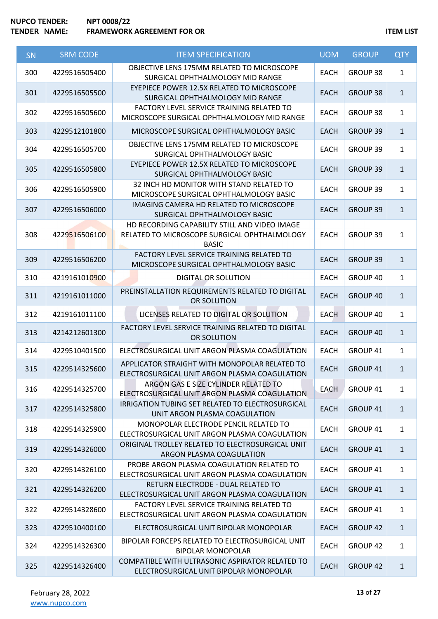| SN  | <b>SRM CODE</b> | <b>ITEM SPECIFICATION</b>                                                                                     | <b>UOM</b>  | <b>GROUP</b>    | <b>QTY</b>   |
|-----|-----------------|---------------------------------------------------------------------------------------------------------------|-------------|-----------------|--------------|
| 300 | 4229516505400   | OBJECTIVE LENS 175MM RELATED TO MICROSCOPE<br>SURGICAL OPHTHALMOLOGY MID RANGE                                | <b>EACH</b> | GROUP 38        | $\mathbf{1}$ |
| 301 | 4229516505500   | EYEPIECE POWER 12.5X RELATED TO MICROSCOPE<br>SURGICAL OPHTHALMOLOGY MID RANGE                                | <b>EACH</b> | <b>GROUP 38</b> | $\mathbf{1}$ |
| 302 | 4229516505600   | FACTORY LEVEL SERVICE TRAINING RELATED TO<br>MICROSCOPE SURGICAL OPHTHALMOLOGY MID RANGE                      | <b>EACH</b> | <b>GROUP 38</b> | $\mathbf{1}$ |
| 303 | 4229512101800   | MICROSCOPE SURGICAL OPHTHALMOLOGY BASIC                                                                       | <b>EACH</b> | <b>GROUP 39</b> | $\mathbf{1}$ |
| 304 | 4229516505700   | OBJECTIVE LENS 175MM RELATED TO MICROSCOPE<br>SURGICAL OPHTHALMOLOGY BASIC                                    | <b>EACH</b> | GROUP 39        | $\mathbf{1}$ |
| 305 | 4229516505800   | EYEPIECE POWER 12.5X RELATED TO MICROSCOPE<br>SURGICAL OPHTHALMOLOGY BASIC                                    | <b>EACH</b> | GROUP 39        | $\mathbf{1}$ |
| 306 | 4229516505900   | 32 INCH HD MONITOR WITH STAND RELATED TO<br>MICROSCOPE SURGICAL OPHTHALMOLOGY BASIC                           | <b>EACH</b> | GROUP 39        | $\mathbf{1}$ |
| 307 | 4229516506000   | IMAGING CAMERA HD RELATED TO MICROSCOPE<br>SURGICAL OPHTHALMOLOGY BASIC                                       | <b>EACH</b> | GROUP 39        | $\mathbf{1}$ |
| 308 | 4229516506100   | HD RECORDING CAPABILITY STILL AND VIDEO IMAGE<br>RELATED TO MICROSCOPE SURGICAL OPHTHALMOLOGY<br><b>BASIC</b> | <b>EACH</b> | <b>GROUP 39</b> | $\mathbf{1}$ |
| 309 | 4229516506200   | FACTORY LEVEL SERVICE TRAINING RELATED TO<br>MICROSCOPE SURGICAL OPHTHALMOLOGY BASIC                          | <b>EACH</b> | <b>GROUP 39</b> | $\mathbf{1}$ |
| 310 | 4219161010900   | <b>DIGITAL OR SOLUTION</b>                                                                                    | <b>EACH</b> | GROUP 40        | $\mathbf{1}$ |
| 311 | 4219161011000   | PREINSTALLATION REQUIREMENTS RELATED TO DIGITAL<br>OR SOLUTION                                                | <b>EACH</b> | GROUP 40        | $\mathbf{1}$ |
| 312 | 4219161011100   | LICENSES RELATED TO DIGITAL OR SOLUTION                                                                       | <b>EACH</b> | GROUP 40        | $\mathbf{1}$ |
| 313 | 4214212601300   | FACTORY LEVEL SERVICE TRAINING RELATED TO DIGITAL<br>OR SOLUTION                                              | <b>EACH</b> | GROUP 40        | $\mathbf{1}$ |
| 314 | 4229510401500   | ELECTROSURGICAL UNIT ARGON PLASMA COAGULATION                                                                 | <b>EACH</b> | GROUP 41        | $\mathbf{1}$ |
| 315 | 4229514325600   | APPLICATOR STRAIGHT WITH MONOPOLAR RELATED TO<br>ELECTROSURGICAL UNIT ARGON PLASMA COAGULATION                | <b>EACH</b> | GROUP 41        | $\mathbf{1}$ |
| 316 | 4229514325700   | ARGON GAS E SIZE CYLINDER RELATED TO<br>ELECTROSURGICAL UNIT ARGON PLASMA COAGULATION                         | <b>EACH</b> | GROUP 41        | $\mathbf{1}$ |
| 317 | 4229514325800   | IRRIGATION TUBING SET RELATED TO ELECTROSURGICAL<br>UNIT ARGON PLASMA COAGULATION                             | <b>EACH</b> | GROUP 41        | $\mathbf{1}$ |
| 318 | 4229514325900   | MONOPOLAR ELECTRODE PENCIL RELATED TO<br>ELECTROSURGICAL UNIT ARGON PLASMA COAGULATION                        | <b>EACH</b> | GROUP 41        | $\mathbf{1}$ |
| 319 | 4229514326000   | ORIGINAL TROLLEY RELATED TO ELECTROSURGICAL UNIT<br>ARGON PLASMA COAGULATION                                  | <b>EACH</b> | <b>GROUP 41</b> | $\mathbf{1}$ |
| 320 | 4229514326100   | PROBE ARGON PLASMA COAGULATION RELATED TO<br>ELECTROSURGICAL UNIT ARGON PLASMA COAGULATION                    | <b>EACH</b> | GROUP 41        | $\mathbf{1}$ |
| 321 | 4229514326200   | RETURN ELECTRODE - DUAL RELATED TO<br>ELECTROSURGICAL UNIT ARGON PLASMA COAGULATION                           | <b>EACH</b> | GROUP 41        | $\mathbf{1}$ |
| 322 | 4229514328600   | FACTORY LEVEL SERVICE TRAINING RELATED TO<br>ELECTROSURGICAL UNIT ARGON PLASMA COAGULATION                    | <b>EACH</b> | GROUP 41        | $\mathbf{1}$ |
| 323 | 4229510400100   | ELECTROSURGICAL UNIT BIPOLAR MONOPOLAR                                                                        | <b>EACH</b> | <b>GROUP 42</b> | $\mathbf{1}$ |
| 324 | 4229514326300   | BIPOLAR FORCEPS RELATED TO ELECTROSURGICAL UNIT<br><b>BIPOLAR MONOPOLAR</b>                                   | <b>EACH</b> | <b>GROUP 42</b> | $\mathbf{1}$ |
| 325 | 4229514326400   | COMPATIBLE WITH ULTRASONIC ASPIRATOR RELATED TO<br>ELECTROSURGICAL UNIT BIPOLAR MONOPOLAR                     | <b>EACH</b> | <b>GROUP 42</b> | $\mathbf{1}$ |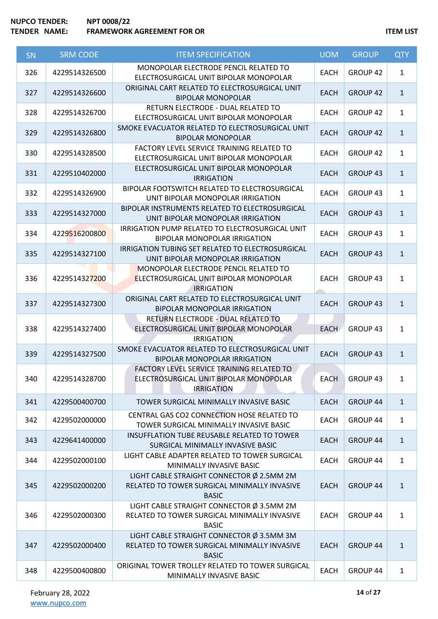| <b>SN</b> | <b>SRM CODE</b> | <b>ITEM SPECIFICATION</b>                                                                                   | <b>UOM</b>  | <b>GROUP</b>        | <b>QTY</b>   |
|-----------|-----------------|-------------------------------------------------------------------------------------------------------------|-------------|---------------------|--------------|
| 326       | 4229514326500   | MONOPOLAR ELECTRODE PENCIL RELATED TO<br>ELECTROSURGICAL UNIT BIPOLAR MONOPOLAR                             | <b>EACH</b> | GROUP 42            | $\mathbf{1}$ |
| 327       | 4229514326600   | ORIGINAL CART RELATED TO ELECTROSURGICAL UNIT<br><b>BIPOLAR MONOPOLAR</b>                                   | <b>EACH</b> | <b>GROUP 42</b>     | $\mathbf{1}$ |
| 328       | 4229514326700   | RETURN ELECTRODE - DUAL RELATED TO<br>ELECTROSURGICAL UNIT BIPOLAR MONOPOLAR                                | <b>EACH</b> | GROUP 42            | $\mathbf{1}$ |
| 329       | 4229514326800   | SMOKE EVACUATOR RELATED TO ELECTROSURGICAL UNIT<br><b>BIPOLAR MONOPOLAR</b>                                 | <b>EACH</b> | <b>GROUP 42</b>     | $\mathbf{1}$ |
| 330       | 4229514328500   | FACTORY LEVEL SERVICE TRAINING RELATED TO<br>ELECTROSURGICAL UNIT BIPOLAR MONOPOLAR                         | <b>EACH</b> | GROUP 42            | $\mathbf{1}$ |
| 331       | 4229510402000   | ELECTROSURGICAL UNIT BIPOLAR MONOPOLAR<br><b>IRRIGATION</b>                                                 | <b>EACH</b> | GROUP 43            | $\mathbf{1}$ |
| 332       | 4229514326900   | BIPOLAR FOOTSWITCH RELATED TO ELECTROSURGICAL<br>UNIT BIPOLAR MONOPOLAR IRRIGATION                          | <b>EACH</b> | GROUP 43            | $\mathbf{1}$ |
| 333       | 4229514327000   | BIPOLAR INSTRUMENTS RELATED TO ELECTROSURGICAL<br>UNIT BIPOLAR MONOPOLAR IRRIGATION                         | <b>EACH</b> | <b>GROUP 43</b>     | $\mathbf{1}$ |
| 334       | 4229516200800   | IRRIGATION PUMP RELATED TO ELECTROSURGICAL UNIT<br><b>BIPOLAR MONOPOLAR IRRIGATION</b>                      | <b>EACH</b> | GROUP 43            | $\mathbf{1}$ |
| 335       | 4229514327100   | IRRIGATION TUBING SET RELATED TO ELECTROSURGICAL<br>UNIT BIPOLAR MONOPOLAR IRRIGATION                       | <b>EACH</b> | <b>GROUP 43</b>     | $\mathbf{1}$ |
| 336       | 4229514327200   | MONOPOLAR ELECTRODE PENCIL RELATED TO<br><b>ELECTROSURGICAL UNIT BIPOLAR MONOPOLAR</b><br><b>IRRIGATION</b> | <b>EACH</b> | GROUP 43            | $\mathbf{1}$ |
| 337       | 4229514327300   | ORIGINAL CART RELATED TO ELECTROSURGICAL UNIT<br><b>BIPOLAR MONOPOLAR IRRIGATION</b>                        | <b>EACH</b> | GROUP <sub>43</sub> | $\mathbf{1}$ |
| 338       | 4229514327400   | RETURN ELECTRODE - DUAL RELATED TO<br>ELECTROSURGICAL UNIT BIPOLAR MONOPOLAR<br><b>IRRIGATION</b>           | <b>EACH</b> | GROUP 43            | $\mathbf{1}$ |
| 339       | 4229514327500   | SMOKE EVACUATOR RELATED TO ELECTROSURGICAL UNIT<br><b>BIPOLAR MONOPOLAR IRRIGATION</b>                      | <b>EACH</b> | <b>GROUP 43</b>     | $\mathbf{1}$ |
| 340       | 4229514328700   | FACTORY LEVEL SERVICE TRAINING RELATED TO<br>ELECTROSURGICAL UNIT BIPOLAR MONOPOLAR<br><b>IRRIGATION</b>    | EACH        | GROUP 43            | 1            |
| 341       | 4229500400700   | TOWER SURGICAL MINIMALLY INVASIVE BASIC                                                                     | <b>EACH</b> | GROUP 44            | $\mathbf{1}$ |
| 342       | 4229502000000   | CENTRAL GAS CO2 CONNECTION HOSE RELATED TO<br>TOWER SURGICAL MINIMALLY INVASIVE BASIC                       | <b>EACH</b> | GROUP 44            | $\mathbf{1}$ |
| 343       | 4229641400000   | INSUFFLATION TUBE REUSABLE RELATED TO TOWER<br>SURGICAL MINIMALLY INVASIVE BASIC                            | <b>EACH</b> | GROUP 44            | $\mathbf{1}$ |
| 344       | 4229502000100   | LIGHT CABLE ADAPTER RELATED TO TOWER SURGICAL<br>MINIMALLY INVASIVE BASIC                                   | <b>EACH</b> | GROUP 44            | $\mathbf{1}$ |
| 345       | 4229502000200   | LIGHT CABLE STRAIGHT CONNECTOR Ø 2.5MM 2M<br>RELATED TO TOWER SURGICAL MINIMALLY INVASIVE<br><b>BASIC</b>   | <b>EACH</b> | GROUP 44            | $\mathbf{1}$ |
| 346       | 4229502000300   | LIGHT CABLE STRAIGHT CONNECTOR Ø 3.5MM 2M<br>RELATED TO TOWER SURGICAL MINIMALLY INVASIVE<br><b>BASIC</b>   | <b>EACH</b> | GROUP 44            | $\mathbf{1}$ |
| 347       | 4229502000400   | LIGHT CABLE STRAIGHT CONNECTOR Ø 3.5MM 3M<br>RELATED TO TOWER SURGICAL MINIMALLY INVASIVE<br><b>BASIC</b>   | <b>EACH</b> | <b>GROUP 44</b>     | $\mathbf{1}$ |
| 348       | 4229500400800   | ORIGINAL TOWER TROLLEY RELATED TO TOWER SURGICAL<br>MINIMALLY INVASIVE BASIC                                | <b>EACH</b> | GROUP 44            | $\mathbf{1}$ |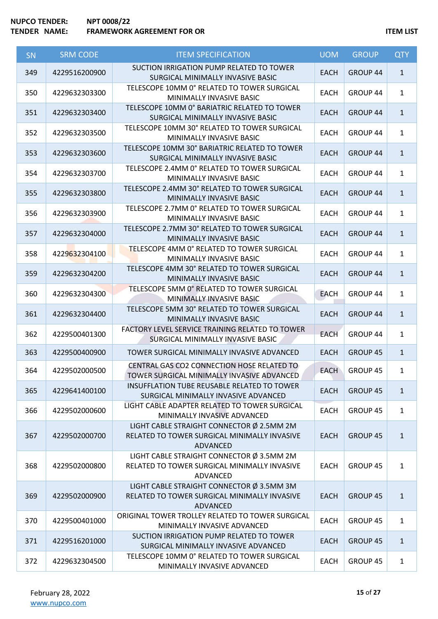| <b>SN</b> | <b>SRM CODE</b> | <b>ITEM SPECIFICATION</b>                                                                             | <b>UOM</b>  | <b>GROUP</b>        | <b>QTY</b>   |
|-----------|-----------------|-------------------------------------------------------------------------------------------------------|-------------|---------------------|--------------|
| 349       | 4229516200900   | SUCTION IRRIGATION PUMP RELATED TO TOWER<br>SURGICAL MINIMALLY INVASIVE BASIC                         | <b>EACH</b> | GROUP 44            | $\mathbf{1}$ |
| 350       | 4229632303300   | TELESCOPE 10MM 0° RELATED TO TOWER SURGICAL<br>MINIMALLY INVASIVE BASIC                               | EACH        | GROUP <sub>44</sub> | $\mathbf{1}$ |
| 351       | 4229632303400   | TELESCOPE 10MM 0° BARIATRIC RELATED TO TOWER<br>SURGICAL MINIMALLY INVASIVE BASIC                     | <b>EACH</b> | GROUP 44            | $\mathbf{1}$ |
| 352       | 4229632303500   | TELESCOPE 10MM 30° RELATED TO TOWER SURGICAL<br>MINIMALLY INVASIVE BASIC                              | EACH        | GROUP 44            | $\mathbf{1}$ |
| 353       | 4229632303600   | TELESCOPE 10MM 30° BARIATRIC RELATED TO TOWER<br>SURGICAL MINIMALLY INVASIVE BASIC                    | <b>EACH</b> | GROUP 44            | $\mathbf{1}$ |
| 354       | 4229632303700   | TELESCOPE 2.4MM 0° RELATED TO TOWER SURGICAL<br>MINIMALLY INVASIVE BASIC                              | <b>EACH</b> | GROUP 44            | $\mathbf{1}$ |
| 355       | 4229632303800   | TELESCOPE 2.4MM 30° RELATED TO TOWER SURGICAL<br>MINIMALLY INVASIVE BASIC                             | <b>EACH</b> | GROUP 44            | $\mathbf{1}$ |
| 356       | 4229632303900   | TELESCOPE 2.7MM 0° RELATED TO TOWER SURGICAL<br>MINIMALLY INVASIVE BASIC                              | <b>EACH</b> | GROUP 44            | $\mathbf{1}$ |
| 357       | 4229632304000   | TELESCOPE 2.7MM 30° RELATED TO TOWER SURGICAL<br>MINIMALLY INVASIVE BASIC                             | <b>EACH</b> | GROUP 44            | $\mathbf{1}$ |
| 358       | 4229632304100   | TELESCOPE 4MM 0° RELATED TO TOWER SURGICAL<br>MINIMALLY INVASIVE BASIC                                | <b>EACH</b> | GROUP 44            | $\mathbf{1}$ |
| 359       | 4229632304200   | TELESCOPE 4MM 30° RELATED TO TOWER SURGICAL<br>MINIMALLY INVASIVE BASIC                               | <b>EACH</b> | GROUP 44            | $\mathbf{1}$ |
| 360       | 4229632304300   | TELESCOPE 5MM 0° RELATED TO TOWER SURGICAL<br>MINIMALLY INVASIVE BASIC                                | <b>EACH</b> | GROUP 44            | $\mathbf{1}$ |
| 361       | 4229632304400   | TELESCOPE 5MM 30° RELATED TO TOWER SURGICAL<br>MINIMALLY INVASIVE BASIC                               | <b>EACH</b> | GROUP 44            | $\mathbf{1}$ |
| 362       | 4229500401300   | FACTORY LEVEL SERVICE TRAINING RELATED TO TOWER<br>SURGICAL MINIMALLY INVASIVE BASIC                  | EACH        | GROUP 44            | $\mathbf{1}$ |
| 363       | 4229500400900   | TOWER SURGICAL MINIMALLY INVASIVE ADVANCED                                                            | <b>EACH</b> | GROUP 45            | $\mathbf{1}$ |
| 364       | 4229502000500   | CENTRAL GAS CO2 CONNECTION HOSE RELATED TO<br>TOWER SURGICAL MINIMALLY INVASIVE ADVANCED              | <b>EACH</b> | GROUP 45            | $\mathbf{1}$ |
| 365       | 4229641400100   | <b>INSUFFLATION TUBE REUSABLE RELATED TO TOWER</b><br>SURGICAL MINIMALLY INVASIVE ADVANCED            | <b>EACH</b> | GROUP 45            | $\mathbf{1}$ |
| 366       | 4229502000600   | LIGHT CABLE ADAPTER RELATED TO TOWER SURGICAL<br>MINIMALLY INVASIVE ADVANCED                          | <b>EACH</b> | GROUP 45            | $\mathbf{1}$ |
| 367       | 4229502000700   | LIGHT CABLE STRAIGHT CONNECTOR Ø 2.5MM 2M<br>RELATED TO TOWER SURGICAL MINIMALLY INVASIVE<br>ADVANCED | <b>EACH</b> | <b>GROUP 45</b>     | $\mathbf{1}$ |
| 368       | 4229502000800   | LIGHT CABLE STRAIGHT CONNECTOR Ø 3.5MM 2M<br>RELATED TO TOWER SURGICAL MINIMALLY INVASIVE<br>ADVANCED | <b>EACH</b> | GROUP 45            | $\mathbf{1}$ |
| 369       | 4229502000900   | LIGHT CABLE STRAIGHT CONNECTOR Ø 3.5MM 3M<br>RELATED TO TOWER SURGICAL MINIMALLY INVASIVE<br>ADVANCED | <b>EACH</b> | GROUP 45            | $\mathbf{1}$ |
| 370       | 4229500401000   | ORIGINAL TOWER TROLLEY RELATED TO TOWER SURGICAL<br>MINIMALLY INVASIVE ADVANCED                       | <b>EACH</b> | GROUP 45            | $\mathbf{1}$ |
| 371       | 4229516201000   | SUCTION IRRIGATION PUMP RELATED TO TOWER<br>SURGICAL MINIMALLY INVASIVE ADVANCED                      | <b>EACH</b> | GROUP 45            | $\mathbf{1}$ |
| 372       | 4229632304500   | TELESCOPE 10MM 0° RELATED TO TOWER SURGICAL<br>MINIMALLY INVASIVE ADVANCED                            | <b>EACH</b> | GROUP 45            | $\mathbf{1}$ |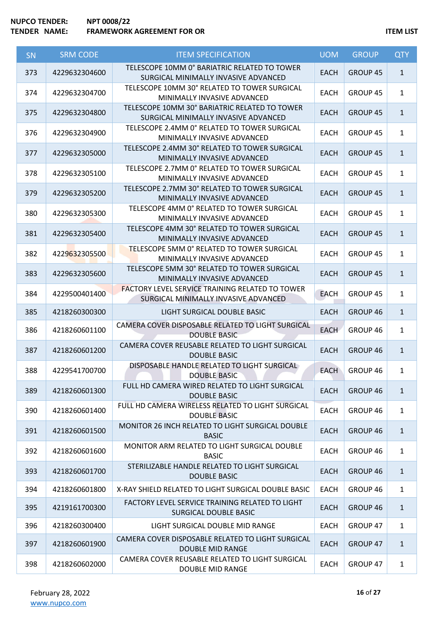| SN  | <b>SRM CODE</b> | <b>ITEM SPECIFICATION</b>                                                                      | <b>UOM</b>  | <b>GROUP</b>    | <b>QTY</b>   |
|-----|-----------------|------------------------------------------------------------------------------------------------|-------------|-----------------|--------------|
| 373 | 4229632304600   | TELESCOPE 10MM 0° BARIATRIC RELATED TO TOWER<br>SURGICAL MINIMALLY INVASIVE ADVANCED           | <b>EACH</b> | <b>GROUP 45</b> | $\mathbf{1}$ |
| 374 | 4229632304700   | TELESCOPE 10MM 30° RELATED TO TOWER SURGICAL<br>MINIMALLY INVASIVE ADVANCED                    | <b>EACH</b> | <b>GROUP 45</b> | $\mathbf{1}$ |
| 375 | 4229632304800   | TELESCOPE 10MM 30° BARIATRIC RELATED TO TOWER<br>SURGICAL MINIMALLY INVASIVE ADVANCED          | <b>EACH</b> | <b>GROUP 45</b> | $\mathbf{1}$ |
| 376 | 4229632304900   | TELESCOPE 2.4MM 0° RELATED TO TOWER SURGICAL<br>MINIMALLY INVASIVE ADVANCED                    | EACH        | GROUP 45        | $\mathbf{1}$ |
| 377 | 4229632305000   | TELESCOPE 2.4MM 30° RELATED TO TOWER SURGICAL<br>MINIMALLY INVASIVE ADVANCED                   | <b>EACH</b> | <b>GROUP 45</b> | $\mathbf{1}$ |
| 378 | 4229632305100   | TELESCOPE 2.7MM 0° RELATED TO TOWER SURGICAL<br>MINIMALLY INVASIVE ADVANCED                    | <b>EACH</b> | GROUP 45        | $\mathbf{1}$ |
| 379 | 4229632305200   | TELESCOPE 2.7MM 30° RELATED TO TOWER SURGICAL<br>MINIMALLY INVASIVE ADVANCED                   | <b>EACH</b> | <b>GROUP 45</b> | $\mathbf{1}$ |
| 380 | 4229632305300   | TELESCOPE 4MM 0° RELATED TO TOWER SURGICAL<br>MINIMALLY INVASIVE ADVANCED                      | <b>EACH</b> | <b>GROUP 45</b> | $\mathbf{1}$ |
| 381 | 4229632305400   | TELESCOPE 4MM 30° RELATED TO TOWER SURGICAL<br>MINIMALLY INVASIVE ADVANCED                     | <b>EACH</b> | GROUP 45        | $\mathbf{1}$ |
| 382 | 4229632305500   | TELESCOPE 5MM 0° RELATED TO TOWER SURGICAL<br>MINIMALLY INVASIVE ADVANCED                      | <b>EACH</b> | GROUP 45        | $\mathbf{1}$ |
| 383 | 4229632305600   | TELESCOPE 5MM 30° RELATED TO TOWER SURGICAL<br>MINIMALLY INVASIVE ADVANCED                     | <b>EACH</b> | GROUP 45        | $\mathbf{1}$ |
| 384 | 4229500401400   | <b>FACTORY LEVEL SERVICE TRAINING RELATED TO TOWER</b><br>SURGICAL MINIMALLY INVASIVE ADVANCED | <b>EACH</b> | <b>GROUP 45</b> | $\mathbf{1}$ |
| 385 | 4218260300300   | LIGHT SURGICAL DOUBLE BASIC                                                                    | <b>EACH</b> | GROUP 46        | $\mathbf{1}$ |
| 386 | 4218260601100   | CAMERA COVER DISPOSABLE RELATED TO LIGHT SURGICAL<br><b>DOUBLE BASIC</b>                       | <b>EACH</b> | GROUP 46        | $\mathbf{1}$ |
| 387 | 4218260601200   | CAMERA COVER REUSABLE RELATED TO LIGHT SURGICAL<br><b>DOUBLE BASIC</b>                         | <b>EACH</b> | GROUP 46        | $\mathbf{1}$ |
| 388 | 4229541700700   | DISPOSABLE HANDLE RELATED TO LIGHT SURGICAL<br><b>DOUBLE BASIC</b>                             | <b>EACH</b> | GROUP 46        | $\mathbf{1}$ |
| 389 | 4218260601300   | FULL HD CAMERA WIRED RELATED TO LIGHT SURGICAL<br><b>DOUBLE BASIC</b>                          | <b>EACH</b> | GROUP 46        | $\mathbf{1}$ |
| 390 | 4218260601400   | FULL HD CAMERA WIRELESS RELATED TO LIGHT SURGICAL<br><b>DOUBLE BASIC</b>                       | EACH        | GROUP 46        | $\mathbf{1}$ |
| 391 | 4218260601500   | MONITOR 26 INCH RELATED TO LIGHT SURGICAL DOUBLE<br><b>BASIC</b>                               | <b>EACH</b> | GROUP 46        | $\mathbf{1}$ |
| 392 | 4218260601600   | MONITOR ARM RELATED TO LIGHT SURGICAL DOUBLE<br><b>BASIC</b>                                   | <b>EACH</b> | GROUP 46        | $\mathbf{1}$ |
| 393 | 4218260601700   | STERILIZABLE HANDLE RELATED TO LIGHT SURGICAL<br><b>DOUBLE BASIC</b>                           | <b>EACH</b> | GROUP 46        | $\mathbf{1}$ |
| 394 | 4218260601800   | X-RAY SHIELD RELATED TO LIGHT SURGICAL DOUBLE BASIC                                            | <b>EACH</b> | GROUP 46        | $\mathbf{1}$ |
| 395 | 4219161700300   | FACTORY LEVEL SERVICE TRAINING RELATED TO LIGHT<br>SURGICAL DOUBLE BASIC                       | <b>EACH</b> | GROUP 46        | $\mathbf{1}$ |
| 396 | 4218260300400   | LIGHT SURGICAL DOUBLE MID RANGE                                                                | <b>EACH</b> | GROUP 47        | $\mathbf{1}$ |
| 397 | 4218260601900   | CAMERA COVER DISPOSABLE RELATED TO LIGHT SURGICAL<br><b>DOUBLE MID RANGE</b>                   | <b>EACH</b> | <b>GROUP 47</b> | $\mathbf{1}$ |
| 398 | 4218260602000   | CAMERA COVER REUSABLE RELATED TO LIGHT SURGICAL<br>DOUBLE MID RANGE                            | <b>EACH</b> | GROUP 47        | $\mathbf{1}$ |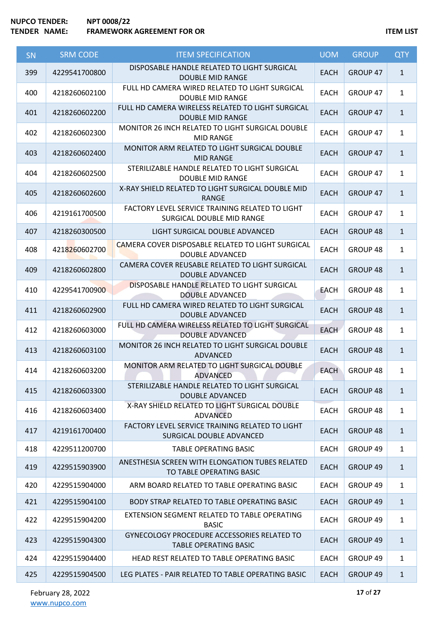| SN  | <b>SRM CODE</b> | <b>ITEM SPECIFICATION</b>                                                          | <b>UOM</b>  | <b>GROUP</b>    | <b>QTY</b>   |
|-----|-----------------|------------------------------------------------------------------------------------|-------------|-----------------|--------------|
| 399 | 4229541700800   | DISPOSABLE HANDLE RELATED TO LIGHT SURGICAL<br><b>DOUBLE MID RANGE</b>             | <b>EACH</b> | GROUP 47        | $\mathbf{1}$ |
| 400 | 4218260602100   | FULL HD CAMERA WIRED RELATED TO LIGHT SURGICAL<br><b>DOUBLE MID RANGE</b>          | <b>EACH</b> | GROUP 47        | $\mathbf{1}$ |
| 401 | 4218260602200   | FULL HD CAMERA WIRELESS RELATED TO LIGHT SURGICAL<br><b>DOUBLE MID RANGE</b>       | <b>EACH</b> | GROUP 47        | $\mathbf{1}$ |
| 402 | 4218260602300   | MONITOR 26 INCH RELATED TO LIGHT SURGICAL DOUBLE<br><b>MID RANGE</b>               | <b>EACH</b> | GROUP 47        | $\mathbf{1}$ |
| 403 | 4218260602400   | MONITOR ARM RELATED TO LIGHT SURGICAL DOUBLE<br><b>MID RANGE</b>                   | <b>EACH</b> | GROUP 47        | $\mathbf{1}$ |
| 404 | 4218260602500   | STERILIZABLE HANDLE RELATED TO LIGHT SURGICAL<br><b>DOUBLE MID RANGE</b>           | <b>EACH</b> | GROUP 47        | $\mathbf{1}$ |
| 405 | 4218260602600   | X-RAY SHIELD RELATED TO LIGHT SURGICAL DOUBLE MID<br><b>RANGE</b>                  | <b>EACH</b> | GROUP 47        | $\mathbf{1}$ |
| 406 | 4219161700500   | FACTORY LEVEL SERVICE TRAINING RELATED TO LIGHT<br>SURGICAL DOUBLE MID RANGE       | <b>EACH</b> | GROUP 47        | $\mathbf{1}$ |
| 407 | 4218260300500   | LIGHT SURGICAL DOUBLE ADVANCED                                                     | <b>EACH</b> | GROUP 48        | $\mathbf{1}$ |
| 408 | 4218260602700   | CAMERA COVER DISPOSABLE RELATED TO LIGHT SURGICAL<br><b>DOUBLE ADVANCED</b>        | <b>EACH</b> | GROUP 48        | $\mathbf{1}$ |
| 409 | 4218260602800   | CAMERA COVER REUSABLE RELATED TO LIGHT SURGICAL<br><b>DOUBLE ADVANCED</b>          | <b>EACH</b> | GROUP 48        | $\mathbf{1}$ |
| 410 | 4229541700900   | DISPOSABLE HANDLE RELATED TO LIGHT SURGICAL<br><b>DOUBLE ADVANCED</b>              | <b>EACH</b> | GROUP 48        | $\mathbf{1}$ |
| 411 | 4218260602900   | FULL HD CAMERA WIRED RELATED TO LIGHT SURGICAL<br><b>DOUBLE ADVANCED</b>           | <b>EACH</b> | GROUP 48        | $\mathbf{1}$ |
| 412 | 4218260603000   | FULL HD CAMERA WIRELESS RELATED TO LIGHT SURGICAL<br><b>DOUBLE ADVANCED</b>        | <b>EACH</b> | GROUP 48        | $\mathbf{1}$ |
| 413 | 4218260603100   | MONITOR 26 INCH RELATED TO LIGHT SURGICAL DOUBLE<br>ADVANCED                       | <b>EACH</b> | <b>GROUP 48</b> | $\mathbf{1}$ |
| 414 | 4218260603200   | MONITOR ARM RELATED TO LIGHT SURGICAL DOUBLE<br><b>ADVANCED</b>                    | <b>EACH</b> | GROUP 48        | $\mathbf{1}$ |
| 415 | 4218260603300   | STERILIZABLE HANDLE RELATED TO LIGHT SURGICAL<br><b>DOUBLE ADVANCED</b>            | <b>EACH</b> | <b>GROUP 48</b> | $\mathbf{1}$ |
| 416 | 4218260603400   | X-RAY SHIELD RELATED TO LIGHT SURGICAL DOUBLE<br>ADVANCED                          | <b>EACH</b> | GROUP 48        | $\mathbf{1}$ |
| 417 | 4219161700400   | FACTORY LEVEL SERVICE TRAINING RELATED TO LIGHT<br>SURGICAL DOUBLE ADVANCED        | <b>EACH</b> | <b>GROUP 48</b> | $\mathbf{1}$ |
| 418 | 4229511200700   | <b>TABLE OPERATING BASIC</b>                                                       | <b>EACH</b> | GROUP 49        | $\mathbf{1}$ |
| 419 | 4229515903900   | ANESTHESIA SCREEN WITH ELONGATION TUBES RELATED<br>TO TABLE OPERATING BASIC        | <b>EACH</b> | GROUP 49        | $\mathbf{1}$ |
| 420 | 4229515904000   | ARM BOARD RELATED TO TABLE OPERATING BASIC                                         | <b>EACH</b> | GROUP 49        | $\mathbf{1}$ |
| 421 | 4229515904100   | BODY STRAP RELATED TO TABLE OPERATING BASIC                                        | <b>EACH</b> | GROUP 49        | $\mathbf{1}$ |
| 422 | 4229515904200   | EXTENSION SEGMENT RELATED TO TABLE OPERATING<br><b>BASIC</b>                       | <b>EACH</b> | GROUP 49        | $\mathbf{1}$ |
| 423 | 4229515904300   | <b>GYNECOLOGY PROCEDURE ACCESSORIES RELATED TO</b><br><b>TABLE OPERATING BASIC</b> | <b>EACH</b> | GROUP 49        | $\mathbf{1}$ |
| 424 | 4229515904400   | HEAD REST RELATED TO TABLE OPERATING BASIC                                         | <b>EACH</b> | GROUP 49        | $\mathbf{1}$ |
| 425 | 4229515904500   | LEG PLATES - PAIR RELATED TO TABLE OPERATING BASIC                                 | <b>EACH</b> | GROUP 49        | $\mathbf{1}$ |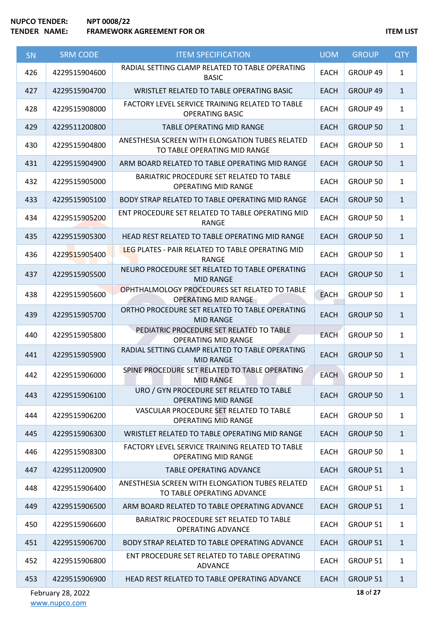| <b>SN</b> | <b>SRM CODE</b>   | <b>ITEM SPECIFICATION</b>                                                       | <b>UOM</b>  | <b>GROUP</b>    | <b>QTY</b>   |
|-----------|-------------------|---------------------------------------------------------------------------------|-------------|-----------------|--------------|
| 426       | 4229515904600     | RADIAL SETTING CLAMP RELATED TO TABLE OPERATING<br><b>BASIC</b>                 | <b>EACH</b> | GROUP 49        | $\mathbf{1}$ |
| 427       | 4229515904700     | WRISTLET RELATED TO TABLE OPERATING BASIC                                       | <b>EACH</b> | GROUP 49        | $\mathbf{1}$ |
| 428       | 4229515908000     | FACTORY LEVEL SERVICE TRAINING RELATED TO TABLE<br><b>OPERATING BASIC</b>       | <b>EACH</b> | GROUP 49        | $\mathbf{1}$ |
| 429       | 4229511200800     | <b>TABLE OPERATING MID RANGE</b>                                                | <b>EACH</b> | <b>GROUP 50</b> | $\mathbf{1}$ |
| 430       | 4229515904800     | ANESTHESIA SCREEN WITH ELONGATION TUBES RELATED<br>TO TABLE OPERATING MID RANGE | <b>EACH</b> | GROUP 50        | $\mathbf{1}$ |
| 431       | 4229515904900     | ARM BOARD RELATED TO TABLE OPERATING MID RANGE                                  | <b>EACH</b> | <b>GROUP 50</b> | $\mathbf{1}$ |
| 432       | 4229515905000     | BARIATRIC PROCEDURE SET RELATED TO TABLE<br><b>OPERATING MID RANGE</b>          | <b>EACH</b> | GROUP 50        | $\mathbf{1}$ |
| 433       | 4229515905100     | BODY STRAP RELATED TO TABLE OPERATING MID RANGE                                 | <b>EACH</b> | <b>GROUP 50</b> | $\mathbf{1}$ |
| 434       | 4229515905200     | ENT PROCEDURE SET RELATED TO TABLE OPERATING MID<br><b>RANGE</b>                | <b>EACH</b> | GROUP 50        | $\mathbf{1}$ |
| 435       | 4229515905300     | HEAD REST RELATED TO TABLE OPERATING MID RANGE                                  | <b>EACH</b> | <b>GROUP 50</b> | $\mathbf{1}$ |
| 436       | 4229515905400     | LEG PLATES - PAIR RELATED TO TABLE OPERATING MID<br><b>RANGE</b>                | <b>EACH</b> | GROUP 50        | $\mathbf{1}$ |
| 437       | 4229515905500     | NEURO PROCEDURE SET RELATED TO TABLE OPERATING<br><b>MID RANGE</b>              | <b>EACH</b> | <b>GROUP 50</b> | $\mathbf{1}$ |
| 438       | 4229515905600     | OPHTHALMOLOGY PROCEDURES SET RELATED TO TABLE<br><b>OPERATING MID RANGE</b>     | <b>EACH</b> | GROUP 50        | $\mathbf{1}$ |
| 439       | 4229515905700     | ORTHO PROCEDURE SET RELATED TO TABLE OPERATING<br><b>MID RANGE</b>              | <b>EACH</b> | <b>GROUP 50</b> | $\mathbf{1}$ |
| 440       | 4229515905800     | PEDIATRIC PROCEDURE SET RELATED TO TABLE<br><b>OPERATING MID RANGE</b>          | <b>EACH</b> | <b>GROUP 50</b> | $\mathbf{1}$ |
| 441       | 4229515905900     | RADIAL SETTING CLAMP RELATED TO TABLE OPERATING<br><b>MID RANGE</b>             | <b>EACH</b> | <b>GROUP 50</b> | $\mathbf{1}$ |
| 442       | 4229515906000     | SPINE PROCEDURE SET RELATED TO TABLE OPERATING<br>MID RANGE                     | <b>EACH</b> | GROUP 50        | 1            |
| 443       | 4229515906100     | URO / GYN PROCEDURE SET RELATED TO TABLE<br><b>OPERATING MID RANGE</b>          | <b>EACH</b> | <b>GROUP 50</b> | $\mathbf{1}$ |
| 444       | 4229515906200     | VASCULAR PROCEDURE SET RELATED TO TABLE<br><b>OPERATING MID RANGE</b>           | <b>EACH</b> | <b>GROUP 50</b> | $\mathbf{1}$ |
| 445       | 4229515906300     | WRISTLET RELATED TO TABLE OPERATING MID RANGE                                   | <b>EACH</b> | <b>GROUP 50</b> | $\mathbf{1}$ |
| 446       | 4229515908300     | FACTORY LEVEL SERVICE TRAINING RELATED TO TABLE<br><b>OPERATING MID RANGE</b>   | <b>EACH</b> | GROUP 50        | $\mathbf{1}$ |
| 447       | 4229511200900     | <b>TABLE OPERATING ADVANCE</b>                                                  | <b>EACH</b> | <b>GROUP 51</b> | $\mathbf{1}$ |
| 448       | 4229515906400     | ANESTHESIA SCREEN WITH ELONGATION TUBES RELATED<br>TO TABLE OPERATING ADVANCE   | <b>EACH</b> | GROUP 51        | $\mathbf{1}$ |
| 449       | 4229515906500     | ARM BOARD RELATED TO TABLE OPERATING ADVANCE                                    | <b>EACH</b> | <b>GROUP 51</b> | $\mathbf{1}$ |
| 450       | 4229515906600     | BARIATRIC PROCEDURE SET RELATED TO TABLE<br><b>OPERATING ADVANCE</b>            | <b>EACH</b> | GROUP 51        | $\mathbf{1}$ |
| 451       | 4229515906700     | BODY STRAP RELATED TO TABLE OPERATING ADVANCE                                   | <b>EACH</b> | <b>GROUP 51</b> | $\mathbf{1}$ |
| 452       | 4229515906800     | ENT PROCEDURE SET RELATED TO TABLE OPERATING<br><b>ADVANCE</b>                  | <b>EACH</b> | GROUP 51        | $\mathbf{1}$ |
| 453       | 4229515906900     | HEAD REST RELATED TO TABLE OPERATING ADVANCE                                    | EACH        | <b>GROUP 51</b> | $\mathbf{1}$ |
|           | February 28, 2022 |                                                                                 |             | 18 of 27        |              |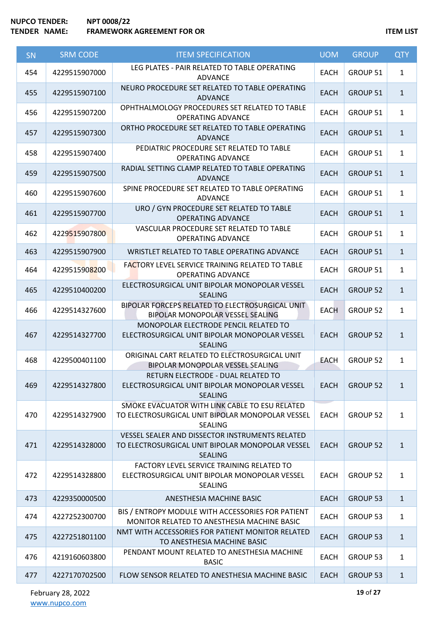| SN  | <b>SRM CODE</b> | <b>ITEM SPECIFICATION</b>                                                                                             | <b>UOM</b>  | <b>GROUP</b>    | <b>QTY</b>   |
|-----|-----------------|-----------------------------------------------------------------------------------------------------------------------|-------------|-----------------|--------------|
| 454 | 4229515907000   | LEG PLATES - PAIR RELATED TO TABLE OPERATING<br><b>ADVANCE</b>                                                        | <b>EACH</b> | GROUP 51        | $\mathbf{1}$ |
| 455 | 4229515907100   | NEURO PROCEDURE SET RELATED TO TABLE OPERATING<br><b>ADVANCE</b>                                                      | <b>EACH</b> | <b>GROUP 51</b> | $\mathbf{1}$ |
| 456 | 4229515907200   | OPHTHALMOLOGY PROCEDURES SET RELATED TO TABLE<br><b>OPERATING ADVANCE</b>                                             | <b>EACH</b> | <b>GROUP 51</b> | $\mathbf{1}$ |
| 457 | 4229515907300   | ORTHO PROCEDURE SET RELATED TO TABLE OPERATING<br><b>ADVANCE</b>                                                      | <b>EACH</b> | GROUP 51        | $\mathbf{1}$ |
| 458 | 4229515907400   | PEDIATRIC PROCEDURE SET RELATED TO TABLE<br><b>OPERATING ADVANCE</b>                                                  | <b>EACH</b> | GROUP 51        | $\mathbf{1}$ |
| 459 | 4229515907500   | RADIAL SETTING CLAMP RELATED TO TABLE OPERATING<br><b>ADVANCE</b>                                                     | <b>EACH</b> | GROUP 51        | $\mathbf{1}$ |
| 460 | 4229515907600   | SPINE PROCEDURE SET RELATED TO TABLE OPERATING<br><b>ADVANCE</b>                                                      | <b>EACH</b> | GROUP 51        | $\mathbf{1}$ |
| 461 | 4229515907700   | URO / GYN PROCEDURE SET RELATED TO TABLE<br><b>OPERATING ADVANCE</b>                                                  | <b>EACH</b> | <b>GROUP 51</b> | $\mathbf{1}$ |
| 462 | 4229515907800   | VASCULAR PROCEDURE SET RELATED TO TABLE<br><b>OPERATING ADVANCE</b>                                                   | <b>EACH</b> | GROUP 51        | $\mathbf{1}$ |
| 463 | 4229515907900   | WRISTLET RELATED TO TABLE OPERATING ADVANCE                                                                           | <b>EACH</b> | GROUP 51        | $\mathbf{1}$ |
| 464 | 4229515908200   | FACTORY LEVEL SERVICE TRAINING RELATED TO TABLE<br><b>OPERATING ADVANCE</b>                                           | <b>EACH</b> | GROUP 51        | $\mathbf{1}$ |
| 465 | 4229510400200   | ELECTROSURGICAL UNIT BIPOLAR MONOPOLAR VESSEL<br><b>SEALING</b>                                                       | <b>EACH</b> | <b>GROUP 52</b> | $\mathbf{1}$ |
| 466 | 4229514327600   | BIPOLAR FORCEPS RELATED TO ELECTROSURGICAL UNIT<br>BIPOLAR MONOPOLAR VESSEL SEALING                                   | <b>EACH</b> | GROUP 52        | $\mathbf{1}$ |
| 467 | 4229514327700   | MONOPOLAR ELECTRODE PENCIL RELATED TO<br>ELECTROSURGICAL UNIT BIPOLAR MONOPOLAR VESSEL<br><b>SEALING</b>              | <b>EACH</b> | <b>GROUP 52</b> | $\mathbf{1}$ |
| 468 | 4229500401100   | ORIGINAL CART RELATED TO ELECTROSURGICAL UNIT<br>BIPOLAR MONOPOLAR VESSEL SEALING                                     | <b>EACH</b> | <b>GROUP 52</b> | $\mathbf{1}$ |
| 469 | 4229514327800   | RETURN ELECTRODE - DUAL RELATED TO<br>ELECTROSURGICAL UNIT BIPOLAR MONOPOLAR VESSEL<br><b>SEALING</b>                 | <b>EACH</b> | <b>GROUP 52</b> | $\mathbf{1}$ |
| 470 | 4229514327900   | SMOKE EVACUATOR WITH LINK CABLE TO ESU RELATED<br>TO ELECTROSURGICAL UNIT BIPOLAR MONOPOLAR VESSEL<br><b>SEALING</b>  | <b>EACH</b> | <b>GROUP 52</b> | $\mathbf{1}$ |
| 471 | 4229514328000   | VESSEL SEALER AND DISSECTOR INSTRUMENTS RELATED<br>TO ELECTROSURGICAL UNIT BIPOLAR MONOPOLAR VESSEL<br><b>SEALING</b> | <b>EACH</b> | <b>GROUP 52</b> | $\mathbf{1}$ |
| 472 | 4229514328800   | FACTORY LEVEL SERVICE TRAINING RELATED TO<br>ELECTROSURGICAL UNIT BIPOLAR MONOPOLAR VESSEL<br>SEALING                 | <b>EACH</b> | GROUP 52        | $\mathbf{1}$ |
| 473 | 4229350000500   | ANESTHESIA MACHINE BASIC                                                                                              | <b>EACH</b> | <b>GROUP 53</b> | $\mathbf{1}$ |
| 474 | 4227252300700   | BIS / ENTROPY MODULE WITH ACCESSORIES FOR PATIENT<br>MONITOR RELATED TO ANESTHESIA MACHINE BASIC                      | <b>EACH</b> | GROUP 53        | $\mathbf{1}$ |
| 475 | 4227251801100   | NMT WITH ACCESSORIES FOR PATIENT MONITOR RELATED<br>TO ANESTHESIA MACHINE BASIC                                       | <b>EACH</b> | <b>GROUP 53</b> | $\mathbf{1}$ |
| 476 | 4219160603800   | PENDANT MOUNT RELATED TO ANESTHESIA MACHINE<br><b>BASIC</b>                                                           | <b>EACH</b> | <b>GROUP 53</b> | $\mathbf{1}$ |
| 477 | 4227170702500   | FLOW SENSOR RELATED TO ANESTHESIA MACHINE BASIC                                                                       | <b>EACH</b> | <b>GROUP 53</b> | $\mathbf{1}$ |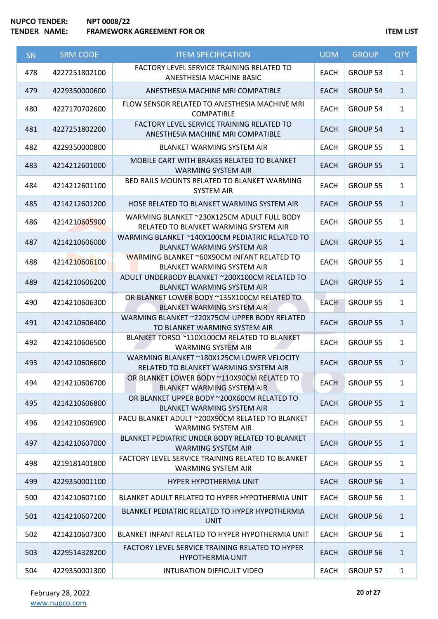| SN  | <b>SRM CODE</b> | <b>ITEM SPECIFICATION</b>                                                            | <b>UOM</b>  | <b>GROUP</b>    | <b>QTY</b>   |
|-----|-----------------|--------------------------------------------------------------------------------------|-------------|-----------------|--------------|
| 478 | 4227251802100   | FACTORY LEVEL SERVICE TRAINING RELATED TO<br>ANESTHESIA MACHINE BASIC                | <b>EACH</b> | GROUP 53        | $\mathbf{1}$ |
| 479 | 4229350000600   | ANESTHESIA MACHINE MRI COMPATIBLE                                                    | <b>EACH</b> | <b>GROUP 54</b> | $\mathbf{1}$ |
| 480 | 4227170702600   | FLOW SENSOR RELATED TO ANESTHESIA MACHINE MRI<br><b>COMPATIBLE</b>                   | <b>EACH</b> | <b>GROUP 54</b> | $\mathbf{1}$ |
| 481 | 4227251802200   | FACTORY LEVEL SERVICE TRAINING RELATED TO<br>ANESTHESIA MACHINE MRI COMPATIBLE       | <b>EACH</b> | <b>GROUP 54</b> | $\mathbf{1}$ |
| 482 | 4229350000800   | <b>BLANKET WARMING SYSTEM AIR</b>                                                    | <b>EACH</b> | GROUP 55        | $\mathbf{1}$ |
| 483 | 4214212601000   | MOBILE CART WITH BRAKES RELATED TO BLANKET<br><b>WARMING SYSTEM AIR</b>              | <b>EACH</b> | <b>GROUP 55</b> | $\mathbf{1}$ |
| 484 | 4214212601100   | BED RAILS MOUNTS RELATED TO BLANKET WARMING<br><b>SYSTEM AIR</b>                     | <b>EACH</b> | <b>GROUP 55</b> | $\mathbf{1}$ |
| 485 | 4214212601200   | HOSE RELATED TO BLANKET WARMING SYSTEM AIR                                           | <b>EACH</b> | <b>GROUP 55</b> | $\mathbf{1}$ |
| 486 | 4214210605900   | WARMING BLANKET ~230X125CM ADULT FULL BODY<br>RELATED TO BLANKET WARMING SYSTEM AIR  | EACH        | <b>GROUP 55</b> | $\mathbf{1}$ |
| 487 | 4214210606000   | WARMING BLANKET ~140X100CM PEDIATRIC RELATED TO<br><b>BLANKET WARMING SYSTEM AIR</b> | <b>EACH</b> | <b>GROUP 55</b> | $\mathbf{1}$ |
| 488 | 4214210606100   | WARMING BLANKET ~60X90CM INFANT RELATED TO<br><b>BLANKET WARMING SYSTEM AIR</b>      | <b>EACH</b> | <b>GROUP 55</b> | $\mathbf{1}$ |
| 489 | 4214210606200   | ADULT UNDERBODY BLANKET ~200X100CM RELATED TO<br><b>BLANKET WARMING SYSTEM AIR</b>   | <b>EACH</b> | <b>GROUP 55</b> | $\mathbf{1}$ |
| 490 | 4214210606300   | OR BLANKET LOWER BODY ~135X100CM RELATED TO<br><b>BLANKET WARMING SYSTEM AIR</b>     | <b>EACH</b> | <b>GROUP 55</b> | $\mathbf{1}$ |
| 491 | 4214210606400   | WARMING BLANKET ~220X75CM UPPER BODY RELATED<br>TO BLANKET WARMING SYSTEM AIR        | <b>EACH</b> | <b>GROUP 55</b> | $\mathbf{1}$ |
| 492 | 4214210606500   | BLANKET TORSO ~110X100CM RELATED TO BLANKET<br><b>WARMING SYSTEM AIR</b>             | <b>EACH</b> | GROUP 55        | $\mathbf{1}$ |
| 493 | 4214210606600   | WARMING BLANKET ~180X125CM LOWER VELOCITY<br>RELATED TO BLANKET WARMING SYSTEM AIR   | <b>EACH</b> | <b>GROUP 55</b> | $\mathbf{1}$ |
| 494 | 4214210606700   | OR BLANKET LOWER BODY ~110X90CM RELATED TO<br><b>BLANKET WARMING SYSTEM AIR</b>      | <b>EACH</b> | <b>GROUP 55</b> | $\mathbf{1}$ |
| 495 | 4214210606800   | OR BLANKET UPPER BODY ~200X60CM RELATED TO<br><b>BLANKET WARMING SYSTEM AIR</b>      | <b>EACH</b> | <b>GROUP 55</b> | $\mathbf{1}$ |
| 496 | 4214210606900   | PACU BLANKET ADULT ~200X90CM RELATED TO BLANKET<br><b>WARMING SYSTEM AIR</b>         | <b>EACH</b> | <b>GROUP 55</b> | $\mathbf{1}$ |
| 497 | 4214210607000   | BLANKET PEDIATRIC UNDER BODY RELATED TO BLANKET<br><b>WARMING SYSTEM AIR</b>         | <b>EACH</b> | <b>GROUP 55</b> | $\mathbf{1}$ |
| 498 | 4219181401800   | FACTORY LEVEL SERVICE TRAINING RELATED TO BLANKET<br><b>WARMING SYSTEM AIR</b>       | <b>EACH</b> | <b>GROUP 55</b> | $\mathbf{1}$ |
| 499 | 4229350001100   | <b>HYPER HYPOTHERMIA UNIT</b>                                                        | <b>EACH</b> | <b>GROUP 56</b> | $\mathbf{1}$ |
| 500 | 4214210607100   | BLANKET ADULT RELATED TO HYPER HYPOTHERMIA UNIT                                      | <b>EACH</b> | GROUP 56        | $\mathbf{1}$ |
| 501 | 4214210607200   | BLANKET PEDIATRIC RELATED TO HYPER HYPOTHERMIA<br><b>UNIT</b>                        | <b>EACH</b> | <b>GROUP 56</b> | $\mathbf{1}$ |
| 502 | 4214210607300   | BLANKET INFANT RELATED TO HYPER HYPOTHERMIA UNIT                                     | <b>EACH</b> | GROUP 56        | $\mathbf{1}$ |
| 503 | 4229514328200   | FACTORY LEVEL SERVICE TRAINING RELATED TO HYPER<br><b>HYPOTHERMIA UNIT</b>           | <b>EACH</b> | <b>GROUP 56</b> | $\mathbf{1}$ |
| 504 | 4229350001300   | <b>INTUBATION DIFFICULT VIDEO</b>                                                    | <b>EACH</b> | <b>GROUP 57</b> | $\mathbf{1}$ |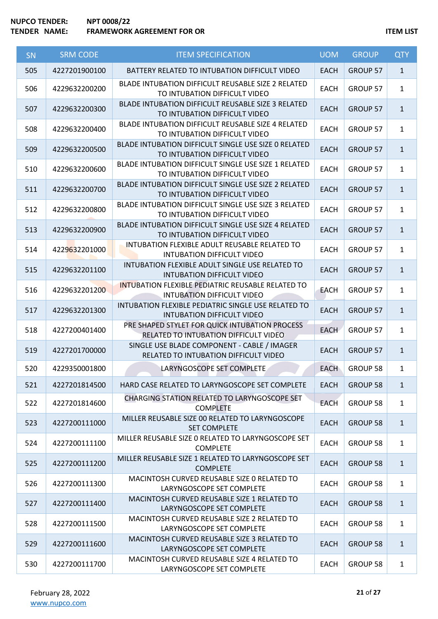# **NUPCO TENDER: NPT 0008/22 TEMP IS A FRAMEWORK AGREEMENT FOR OR ITEM LIST**

| SN  | <b>SRM CODE</b> | <b>ITEM SPECIFICATION</b>                                                                     | <b>UOM</b>  | <b>GROUP</b>    | <b>QTY</b>   |
|-----|-----------------|-----------------------------------------------------------------------------------------------|-------------|-----------------|--------------|
| 505 | 4227201900100   | BATTERY RELATED TO INTUBATION DIFFICULT VIDEO                                                 | <b>EACH</b> | <b>GROUP 57</b> | $\mathbf{1}$ |
| 506 | 4229632200200   | BLADE INTUBATION DIFFICULT REUSABLE SIZE 2 RELATED<br>TO INTUBATION DIFFICULT VIDEO           | <b>EACH</b> | GROUP 57        | $\mathbf{1}$ |
| 507 | 4229632200300   | BLADE INTUBATION DIFFICULT REUSABLE SIZE 3 RELATED<br>TO INTUBATION DIFFICULT VIDEO           | <b>EACH</b> | <b>GROUP 57</b> | $\mathbf{1}$ |
| 508 | 4229632200400   | BLADE INTUBATION DIFFICULT REUSABLE SIZE 4 RELATED<br>TO INTUBATION DIFFICULT VIDEO           | <b>EACH</b> | <b>GROUP 57</b> | $\mathbf{1}$ |
| 509 | 4229632200500   | BLADE INTUBATION DIFFICULT SINGLE USE SIZE 0 RELATED<br>TO INTUBATION DIFFICULT VIDEO         | <b>EACH</b> | <b>GROUP 57</b> | $\mathbf{1}$ |
| 510 | 4229632200600   | BLADE INTUBATION DIFFICULT SINGLE USE SIZE 1 RELATED<br>TO INTUBATION DIFFICULT VIDEO         | <b>EACH</b> | GROUP 57        | $\mathbf{1}$ |
| 511 | 4229632200700   | BLADE INTUBATION DIFFICULT SINGLE USE SIZE 2 RELATED<br>TO INTUBATION DIFFICULT VIDEO         | <b>EACH</b> | <b>GROUP 57</b> | $\mathbf{1}$ |
| 512 | 4229632200800   | BLADE INTUBATION DIFFICULT SINGLE USE SIZE 3 RELATED<br>TO INTUBATION DIFFICULT VIDEO         | <b>EACH</b> | <b>GROUP 57</b> | $\mathbf{1}$ |
| 513 | 4229632200900   | BLADE INTUBATION DIFFICULT SINGLE USE SIZE 4 RELATED<br>TO INTUBATION DIFFICULT VIDEO         | <b>EACH</b> | <b>GROUP 57</b> | $\mathbf{1}$ |
| 514 | 4229632201000   | INTUBATION FLEXIBLE ADULT REUSABLE RELATED TO<br><b>INTUBATION DIFFICULT VIDEO</b>            | <b>EACH</b> | GROUP 57        | $\mathbf{1}$ |
| 515 | 4229632201100   | INTUBATION FLEXIBLE ADULT SINGLE USE RELATED TO<br><b>INTUBATION DIFFICULT VIDEO</b>          | <b>EACH</b> | <b>GROUP 57</b> | $\mathbf{1}$ |
| 516 | 4229632201200   | <b>INTUBATION FLEXIBLE PEDIATRIC REUSABLE RELATED TO</b><br><b>INTUBATION DIFFICULT VIDEO</b> | <b>EACH</b> | GROUP 57        | $\mathbf{1}$ |
| 517 | 4229632201300   | INTUBATION FLEXIBLE PEDIATRIC SINGLE USE RELATED TO<br><b>INTUBATION DIFFICULT VIDEO</b>      | <b>EACH</b> | <b>GROUP 57</b> | $\mathbf{1}$ |
| 518 | 4227200401400   | PRE SHAPED STYLET FOR QUICK INTUBATION PROCESS<br>RELATED TO INTUBATION DIFFICULT VIDEO       | <b>EACH</b> | GROUP 57        | $\mathbf{1}$ |
| 519 | 4227201700000   | SINGLE USE BLADE COMPONENT - CABLE / IMAGER<br>RELATED TO INTUBATION DIFFICULT VIDEO          | <b>EACH</b> | GROUP 57        | $\mathbf{1}$ |
| 520 | 4229350001800   | LARYNGOSCOPE SET COMPLETE                                                                     | <b>EACH</b> | <b>GROUP 58</b> | $\mathbf{1}$ |
| 521 | 4227201814500   | HARD CASE RELATED TO LARYNGOSCOPE SET COMPLETE                                                | <b>EACH</b> | <b>GROUP 58</b> | $\mathbf{1}$ |
| 522 | 4227201814600   | CHARGING STATION RELATED TO LARYNGOSCOPE SET<br><b>COMPLETE</b>                               | <b>EACH</b> | <b>GROUP 58</b> | $\mathbf{1}$ |
| 523 | 4227200111000   | MILLER REUSABLE SIZE 00 RELATED TO LARYNGOSCOPE<br><b>SET COMPLETE</b>                        | <b>EACH</b> | <b>GROUP 58</b> | $\mathbf{1}$ |
| 524 | 4227200111100   | MILLER REUSABLE SIZE O RELATED TO LARYNGOSCOPE SET<br><b>COMPLETE</b>                         | <b>EACH</b> | GROUP 58        | $\mathbf{1}$ |
| 525 | 4227200111200   | MILLER REUSABLE SIZE 1 RELATED TO LARYNGOSCOPE SET<br><b>COMPLETE</b>                         | <b>EACH</b> | <b>GROUP 58</b> | $\mathbf{1}$ |
| 526 | 4227200111300   | MACINTOSH CURVED REUSABLE SIZE 0 RELATED TO<br>LARYNGOSCOPE SET COMPLETE                      | <b>EACH</b> | GROUP 58        | $\mathbf{1}$ |
| 527 | 4227200111400   | MACINTOSH CURVED REUSABLE SIZE 1 RELATED TO<br>LARYNGOSCOPE SET COMPLETE                      | <b>EACH</b> | <b>GROUP 58</b> | $\mathbf{1}$ |
| 528 | 4227200111500   | MACINTOSH CURVED REUSABLE SIZE 2 RELATED TO<br>LARYNGOSCOPE SET COMPLETE                      | <b>EACH</b> | GROUP 58        | $\mathbf{1}$ |
| 529 | 4227200111600   | MACINTOSH CURVED REUSABLE SIZE 3 RELATED TO<br>LARYNGOSCOPE SET COMPLETE                      | <b>EACH</b> | <b>GROUP 58</b> | $\mathbf{1}$ |
| 530 | 4227200111700   | MACINTOSH CURVED REUSABLE SIZE 4 RELATED TO<br>LARYNGOSCOPE SET COMPLETE                      | <b>EACH</b> | GROUP 58        | $\mathbf{1}$ |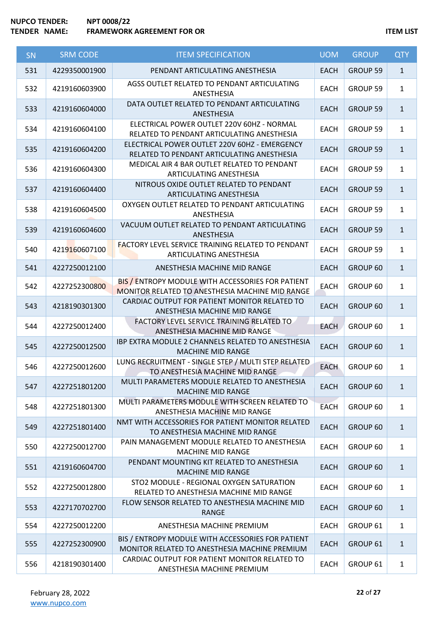# **NUPCO TENDER: NPT 0008/22 TEMP IS A FRAMEWORK AGREEMENT FOR OR ITEM LIST**

| SN  | <b>SRM CODE</b> | <b>ITEM SPECIFICATION</b>                                                                            | <b>UOM</b>  | <b>GROUP</b>    | <b>QTY</b>   |
|-----|-----------------|------------------------------------------------------------------------------------------------------|-------------|-----------------|--------------|
| 531 | 4229350001900   | PENDANT ARTICULATING ANESTHESIA                                                                      | <b>EACH</b> | GROUP 59        | $\mathbf{1}$ |
| 532 | 4219160603900   | AGSS OUTLET RELATED TO PENDANT ARTICULATING<br>ANESTHESIA                                            | <b>EACH</b> | GROUP 59        | $\mathbf{1}$ |
| 533 | 4219160604000   | DATA OUTLET RELATED TO PENDANT ARTICULATING<br>ANESTHESIA                                            | <b>EACH</b> | GROUP 59        | $\mathbf{1}$ |
| 534 | 4219160604100   | ELECTRICAL POWER OUTLET 220V 60HZ - NORMAL<br>RELATED TO PENDANT ARTICULATING ANESTHESIA             | <b>EACH</b> | <b>GROUP 59</b> | $\mathbf{1}$ |
| 535 | 4219160604200   | ELECTRICAL POWER OUTLET 220V 60HZ - EMERGENCY<br>RELATED TO PENDANT ARTICULATING ANESTHESIA          | <b>EACH</b> | GROUP 59        | $\mathbf{1}$ |
| 536 | 4219160604300   | MEDICAL AIR 4 BAR OUTLET RELATED TO PENDANT<br>ARTICULATING ANESTHESIA                               | <b>EACH</b> | <b>GROUP 59</b> | $\mathbf{1}$ |
| 537 | 4219160604400   | NITROUS OXIDE OUTLET RELATED TO PENDANT<br><b>ARTICULATING ANESTHESIA</b>                            | <b>EACH</b> | GROUP 59        | $\mathbf{1}$ |
| 538 | 4219160604500   | OXYGEN OUTLET RELATED TO PENDANT ARTICULATING<br>ANESTHESIA                                          | <b>EACH</b> | GROUP 59        | $\mathbf{1}$ |
| 539 | 4219160604600   | VACUUM OUTLET RELATED TO PENDANT ARTICULATING<br>ANESTHESIA                                          | <b>EACH</b> | <b>GROUP 59</b> | $\mathbf{1}$ |
| 540 | 4219160607100   | <b>FACTORY LEVEL SERVICE TRAINING RELATED TO PENDANT</b><br><b>ARTICULATING ANESTHESIA</b>           | <b>EACH</b> | <b>GROUP 59</b> | $\mathbf{1}$ |
| 541 | 4227250012100   | ANESTHESIA MACHINE MID RANGE                                                                         | <b>EACH</b> | GROUP 60        | $\mathbf{1}$ |
| 542 | 4227252300800   | BIS / ENTROPY MODULE WITH ACCESSORIES FOR PATIENT<br>MONITOR RELATED TO ANESTHESIA MACHINE MID RANGE | <b>EACH</b> | GROUP 60        | $\mathbf{1}$ |
| 543 | 4218190301300   | CARDIAC OUTPUT FOR PATIENT MONITOR RELATED TO<br>ANESTHESIA MACHINE MID RANGE                        | <b>EACH</b> | GROUP 60        | $\mathbf{1}$ |
| 544 | 4227250012400   | FACTORY LEVEL SERVICE TRAINING RELATED TO<br>ANESTHESIA MACHINE MID RANGE                            | <b>EACH</b> | GROUP 60        | $\mathbf{1}$ |
| 545 | 4227250012500   | <b>IBP EXTRA MODULE 2 CHANNELS RELATED TO ANESTHESIA</b><br><b>MACHINE MID RANGE</b>                 | <b>EACH</b> | GROUP 60        | $\mathbf{1}$ |
| 546 | 4227250012600   | LUNG RECRUITMENT - SINGLE STEP / MULTI STEP RELATED<br>TO ANESTHESIA MACHINE MID RANGE               | <b>EACH</b> | GROUP 60        | $\mathbf{1}$ |
| 547 | 4227251801200   | MULTI PARAMETERS MODULE RELATED TO ANESTHESIA<br><b>MACHINE MID RANGE</b>                            | <b>EACH</b> | GROUP 60        | $\mathbf{1}$ |
| 548 | 4227251801300   | MULTI PARAMETERS MODULE WITH SCREEN RELATED TO<br>ANESTHESIA MACHINE MID RANGE                       | <b>EACH</b> | GROUP 60        | $\mathbf{1}$ |
| 549 | 4227251801400   | NMT WITH ACCESSORIES FOR PATIENT MONITOR RELATED<br>TO ANESTHESIA MACHINE MID RANGE                  | EACH        | GROUP 60        | $\mathbf{1}$ |
| 550 | 4227250012700   | PAIN MANAGEMENT MODULE RELATED TO ANESTHESIA<br><b>MACHINE MID RANGE</b>                             | <b>EACH</b> | GROUP 60        | $\mathbf{1}$ |
| 551 | 4219160604700   | PENDANT MOUNTING KIT RELATED TO ANESTHESIA<br>MACHINE MID RANGE                                      | <b>EACH</b> | GROUP 60        | $\mathbf{1}$ |
| 552 | 4227250012800   | STO2 MODULE - REGIONAL OXYGEN SATURATION<br>RELATED TO ANESTHESIA MACHINE MID RANGE                  | <b>EACH</b> | GROUP 60        | $\mathbf{1}$ |
| 553 | 4227170702700   | FLOW SENSOR RELATED TO ANESTHESIA MACHINE MID<br>RANGE                                               | <b>EACH</b> | GROUP 60        | $\mathbf{1}$ |
| 554 | 4227250012200   | ANESTHESIA MACHINE PREMIUM                                                                           | <b>EACH</b> | GROUP 61        | $\mathbf{1}$ |
| 555 | 4227252300900   | BIS / ENTROPY MODULE WITH ACCESSORIES FOR PATIENT<br>MONITOR RELATED TO ANESTHESIA MACHINE PREMIUM   | <b>EACH</b> | GROUP 61        | $\mathbf{1}$ |
| 556 | 4218190301400   | CARDIAC OUTPUT FOR PATIENT MONITOR RELATED TO<br>ANESTHESIA MACHINE PREMIUM                          | <b>EACH</b> | GROUP 61        | $\mathbf{1}$ |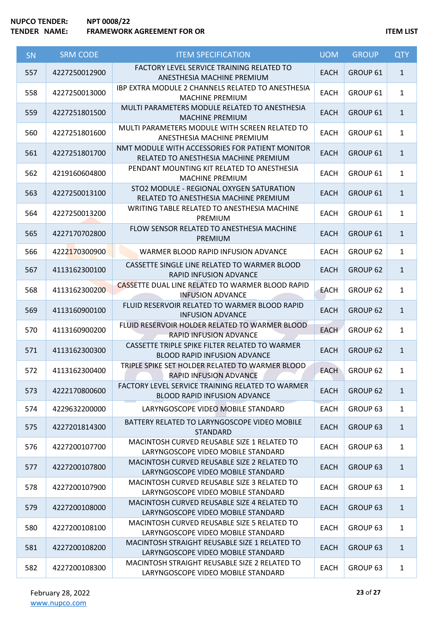| SN  | <b>SRM CODE</b> | <b>ITEM SPECIFICATION</b>                                                                | <b>UOM</b>  | <b>GROUP</b>        | <b>QTY</b>   |
|-----|-----------------|------------------------------------------------------------------------------------------|-------------|---------------------|--------------|
| 557 | 4227250012900   | FACTORY LEVEL SERVICE TRAINING RELATED TO<br>ANESTHESIA MACHINE PREMIUM                  | <b>EACH</b> | GROUP 61            | $\mathbf{1}$ |
| 558 | 4227250013000   | <b>IBP EXTRA MODULE 2 CHANNELS RELATED TO ANESTHESIA</b><br><b>MACHINE PREMIUM</b>       | <b>EACH</b> | GROUP 61            | $\mathbf{1}$ |
| 559 | 4227251801500   | MULTI PARAMETERS MODULE RELATED TO ANESTHESIA<br><b>MACHINE PREMIUM</b>                  | <b>EACH</b> | GROUP 61            | $\mathbf{1}$ |
| 560 | 4227251801600   | MULTI PARAMETERS MODULE WITH SCREEN RELATED TO<br>ANESTHESIA MACHINE PREMIUM             | EACH        | GROUP 61            | $\mathbf{1}$ |
| 561 | 4227251801700   | NMT MODULE WITH ACCESSORIES FOR PATIENT MONITOR<br>RELATED TO ANESTHESIA MACHINE PREMIUM | <b>EACH</b> | GROUP 61            | $\mathbf{1}$ |
| 562 | 4219160604800   | PENDANT MOUNTING KIT RELATED TO ANESTHESIA<br><b>MACHINE PREMIUM</b>                     | <b>EACH</b> | GROUP 61            | $\mathbf{1}$ |
| 563 | 4227250013100   | STO2 MODULE - REGIONAL OXYGEN SATURATION<br>RELATED TO ANESTHESIA MACHINE PREMIUM        | <b>EACH</b> | GROUP 61            | $\mathbf{1}$ |
| 564 | 4227250013200   | WRITING TABLE RELATED TO ANESTHESIA MACHINE<br>PREMIUM                                   | <b>EACH</b> | GROUP 61            | $\mathbf{1}$ |
| 565 | 4227170702800   | FLOW SENSOR RELATED TO ANESTHESIA MACHINE<br>PREMIUM                                     | <b>EACH</b> | <b>GROUP 61</b>     | $\mathbf{1}$ |
| 566 | 4222170300900   | WARMER BLOOD RAPID INFUSION ADVANCE                                                      | <b>EACH</b> | GROUP 62            | $\mathbf{1}$ |
| 567 | 4113162300100   | CASSETTE SINGLE LINE RELATED TO WARMER BLOOD<br>RAPID INFUSION ADVANCE                   | <b>EACH</b> | <b>GROUP 62</b>     | $\mathbf{1}$ |
| 568 | 4113162300200   | CASSETTE DUAL LINE RELATED TO WARMER BLOOD RAPID<br><b>INFUSION ADVANCE</b>              | <b>EACH</b> | GROUP 62            | $\mathbf{1}$ |
| 569 | 4113160900100   | FLUID RESERVOIR RELATED TO WARMER BLOOD RAPID<br><b>INFUSION ADVANCE</b>                 | <b>EACH</b> | <b>GROUP 62</b>     | $\mathbf{1}$ |
| 570 | 4113160900200   | FLUID RESERVOIR HOLDER RELATED TO WARMER BLOOD<br>RAPID INFUSION ADVANCE                 | <b>EACH</b> | GROUP 62            | $\mathbf{1}$ |
| 571 | 4113162300300   | CASSETTE TRIPLE SPIKE FILTER RELATED TO WARMER<br><b>BLOOD RAPID INFUSION ADVANCE</b>    | <b>EACH</b> | <b>GROUP 62</b>     | $\mathbf{1}$ |
| 572 | 4113162300400   | TRIPLE SPIKE SET HOLDER RELATED TO WARMER BLOOD<br>RAPID INFUSION ADVANCE                | <b>EACH</b> | GROUP 62            | $\mathbf{1}$ |
| 573 | 4222170800600   | FACTORY LEVEL SERVICE TRAINING RELATED TO WARMER<br><b>BLOOD RAPID INFUSION ADVANCE</b>  | <b>EACH</b> | GROUP 62            | $\mathbf{1}$ |
| 574 | 4229632200000   | LARYNGOSCOPE VIDEO MOBILE STANDARD                                                       | <b>EACH</b> | GROUP 63            | $\mathbf{1}$ |
| 575 | 4227201814300   | BATTERY RELATED TO LARYNGOSCOPE VIDEO MOBILE<br><b>STANDARD</b>                          | <b>EACH</b> | GROUP 63            | $\mathbf{1}$ |
| 576 | 4227200107700   | MACINTOSH CURVED REUSABLE SIZE 1 RELATED TO<br>LARYNGOSCOPE VIDEO MOBILE STANDARD        | <b>EACH</b> | GROUP 63            | $\mathbf{1}$ |
| 577 | 4227200107800   | MACINTOSH CURVED REUSABLE SIZE 2 RELATED TO<br>LARYNGOSCOPE VIDEO MOBILE STANDARD        | <b>EACH</b> | GROUP <sub>63</sub> | $\mathbf{1}$ |
| 578 | 4227200107900   | MACINTOSH CURVED REUSABLE SIZE 3 RELATED TO<br>LARYNGOSCOPE VIDEO MOBILE STANDARD        | <b>EACH</b> | GROUP 63            | $\mathbf{1}$ |
| 579 | 4227200108000   | MACINTOSH CURVED REUSABLE SIZE 4 RELATED TO<br>LARYNGOSCOPE VIDEO MOBILE STANDARD        | <b>EACH</b> | GROUP 63            | $\mathbf{1}$ |
| 580 | 4227200108100   | MACINTOSH CURVED REUSABLE SIZE 5 RELATED TO<br>LARYNGOSCOPE VIDEO MOBILE STANDARD        | <b>EACH</b> | GROUP 63            | $\mathbf{1}$ |
| 581 | 4227200108200   | MACINTOSH STRAIGHT REUSABLE SIZE 1 RELATED TO<br>LARYNGOSCOPE VIDEO MOBILE STANDARD      | <b>EACH</b> | GROUP 63            | $\mathbf{1}$ |
| 582 | 4227200108300   | MACINTOSH STRAIGHT REUSABLE SIZE 2 RELATED TO<br>LARYNGOSCOPE VIDEO MOBILE STANDARD      | <b>EACH</b> | GROUP 63            | $\mathbf{1}$ |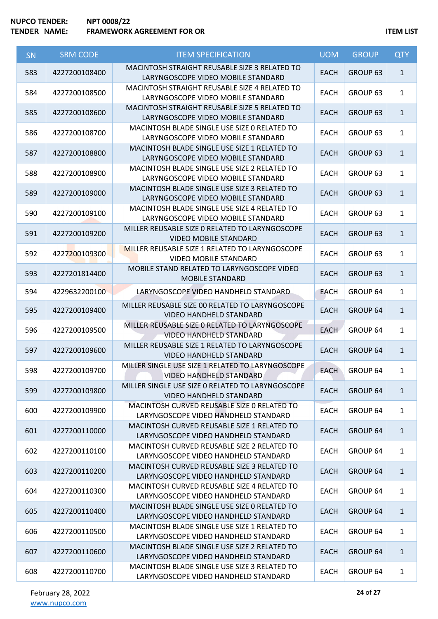| <b>SN</b> | <b>SRM CODE</b> | <b>ITEM SPECIFICATION</b>                                                            | <b>UOM</b>  | <b>GROUP</b>        | <b>QTY</b>   |
|-----------|-----------------|--------------------------------------------------------------------------------------|-------------|---------------------|--------------|
| 583       | 4227200108400   | MACINTOSH STRAIGHT REUSABLE SIZE 3 RELATED TO<br>LARYNGOSCOPE VIDEO MOBILE STANDARD  | <b>EACH</b> | GROUP <sub>63</sub> | $\mathbf{1}$ |
| 584       | 4227200108500   | MACINTOSH STRAIGHT REUSABLE SIZE 4 RELATED TO<br>LARYNGOSCOPE VIDEO MOBILE STANDARD  | <b>EACH</b> | GROUP <sub>63</sub> | $\mathbf{1}$ |
| 585       | 4227200108600   | MACINTOSH STRAIGHT REUSABLE SIZE 5 RELATED TO<br>LARYNGOSCOPE VIDEO MOBILE STANDARD  | <b>EACH</b> | GROUP 63            | $\mathbf{1}$ |
| 586       | 4227200108700   | MACINTOSH BLADE SINGLE USE SIZE 0 RELATED TO<br>LARYNGOSCOPE VIDEO MOBILE STANDARD   | EACH        | GROUP <sub>63</sub> | $\mathbf{1}$ |
| 587       | 4227200108800   | MACINTOSH BLADE SINGLE USE SIZE 1 RELATED TO<br>LARYNGOSCOPE VIDEO MOBILE STANDARD   | <b>EACH</b> | GROUP <sub>63</sub> | $\mathbf{1}$ |
| 588       | 4227200108900   | MACINTOSH BLADE SINGLE USE SIZE 2 RELATED TO<br>LARYNGOSCOPE VIDEO MOBILE STANDARD   | <b>EACH</b> | GROUP <sub>63</sub> | $\mathbf{1}$ |
| 589       | 4227200109000   | MACINTOSH BLADE SINGLE USE SIZE 3 RELATED TO<br>LARYNGOSCOPE VIDEO MOBILE STANDARD   | <b>EACH</b> | GROUP <sub>63</sub> | $\mathbf{1}$ |
| 590       | 4227200109100   | MACINTOSH BLADE SINGLE USE SIZE 4 RELATED TO<br>LARYNGOSCOPE VIDEO MOBILE STANDARD   | <b>EACH</b> | GROUP <sub>63</sub> | $\mathbf{1}$ |
| 591       | 4227200109200   | MILLER REUSABLE SIZE O RELATED TO LARYNGOSCOPE<br><b>VIDEO MOBILE STANDARD</b>       | <b>EACH</b> | GROUP <sub>63</sub> | $\mathbf{1}$ |
| 592       | 4227200109300   | MILLER REUSABLE SIZE 1 RELATED TO LARYNGOSCOPE<br><b>VIDEO MOBILE STANDARD</b>       | <b>EACH</b> | GROUP 63            | $\mathbf{1}$ |
| 593       | 4227201814400   | MOBILE STAND RELATED TO LARYNGOSCOPE VIDEO<br><b>MOBILE STANDARD</b>                 | <b>EACH</b> | GROUP <sub>63</sub> | $\mathbf{1}$ |
| 594       | 4229632200100   | LARYNGOSCOPE VIDEO HANDHELD STANDARD                                                 | <b>EACH</b> | GROUP 64            | $\mathbf{1}$ |
| 595       | 4227200109400   | MILLER REUSABLE SIZE 00 RELATED TO LARYNGOSCOPE<br><b>VIDEO HANDHELD STANDARD</b>    | <b>EACH</b> | GROUP 64            | $\mathbf{1}$ |
| 596       | 4227200109500   | MILLER REUSABLE SIZE O RELATED TO LARYNGOSCOPE<br><b>VIDEO HANDHELD STANDARD</b>     | <b>EACH</b> | GROUP 64            | $\mathbf{1}$ |
| 597       | 4227200109600   | MILLER REUSABLE SIZE 1 RELATED TO LARYNGOSCOPE<br><b>VIDEO HANDHELD STANDARD</b>     | <b>EACH</b> | <b>GROUP 64</b>     | $\mathbf{1}$ |
| 598       | 4227200109700   | MILLER SINGLE USE SIZE 1 RELATED TO LARYNGOSCOPE<br><b>VIDEO HANDHELD STANDARD</b>   | <b>EACH</b> | GROUP 64            | 1            |
| 599       | 4227200109800   | MILLER SINGLE USE SIZE O RELATED TO LARYNGOSCOPE<br><b>VIDEO HANDHELD STANDARD</b>   | <b>EACH</b> | GROUP 64            | $\mathbf{1}$ |
| 600       | 4227200109900   | MACINTOSH CURVED REUSABLE SIZE O RELATED TO<br>LARYNGOSCOPE VIDEO HANDHELD STANDARD  | EACH        | GROUP 64            | $\mathbf{1}$ |
| 601       | 4227200110000   | MACINTOSH CURVED REUSABLE SIZE 1 RELATED TO<br>LARYNGOSCOPE VIDEO HANDHELD STANDARD  | <b>EACH</b> | <b>GROUP 64</b>     | $\mathbf{1}$ |
| 602       | 4227200110100   | MACINTOSH CURVED REUSABLE SIZE 2 RELATED TO<br>LARYNGOSCOPE VIDEO HANDHELD STANDARD  | <b>EACH</b> | GROUP 64            | $\mathbf{1}$ |
| 603       | 4227200110200   | MACINTOSH CURVED REUSABLE SIZE 3 RELATED TO<br>LARYNGOSCOPE VIDEO HANDHELD STANDARD  | <b>EACH</b> | GROUP 64            | $\mathbf{1}$ |
| 604       | 4227200110300   | MACINTOSH CURVED REUSABLE SIZE 4 RELATED TO<br>LARYNGOSCOPE VIDEO HANDHELD STANDARD  | <b>EACH</b> | GROUP 64            | $\mathbf{1}$ |
| 605       | 4227200110400   | MACINTOSH BLADE SINGLE USE SIZE 0 RELATED TO<br>LARYNGOSCOPE VIDEO HANDHELD STANDARD | <b>EACH</b> | GROUP 64            | $\mathbf{1}$ |
| 606       | 4227200110500   | MACINTOSH BLADE SINGLE USE SIZE 1 RELATED TO<br>LARYNGOSCOPE VIDEO HANDHELD STANDARD | <b>EACH</b> | GROUP 64            | $\mathbf{1}$ |
| 607       | 4227200110600   | MACINTOSH BLADE SINGLE USE SIZE 2 RELATED TO<br>LARYNGOSCOPE VIDEO HANDHELD STANDARD | <b>EACH</b> | GROUP 64            | $\mathbf{1}$ |
| 608       | 4227200110700   | MACINTOSH BLADE SINGLE USE SIZE 3 RELATED TO<br>LARYNGOSCOPE VIDEO HANDHELD STANDARD | <b>EACH</b> | GROUP 64            | $\mathbf{1}$ |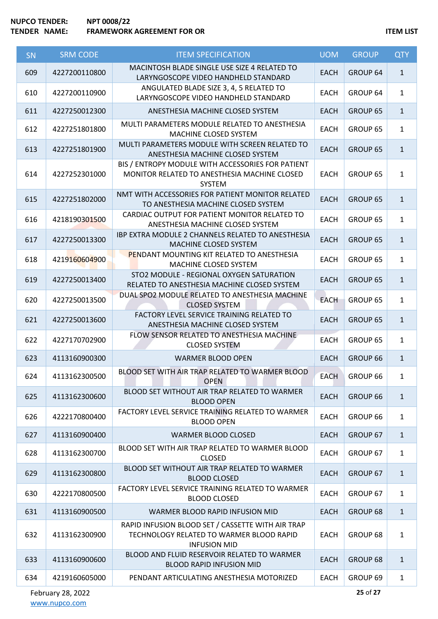| SN  | <b>SRM CODE</b> | <b>ITEM SPECIFICATION</b>                                                                                            | <b>UOM</b>  | <b>GROUP</b>    | <b>QTY</b>   |
|-----|-----------------|----------------------------------------------------------------------------------------------------------------------|-------------|-----------------|--------------|
| 609 | 4227200110800   | MACINTOSH BLADE SINGLE USE SIZE 4 RELATED TO<br>LARYNGOSCOPE VIDEO HANDHELD STANDARD                                 | <b>EACH</b> | GROUP 64        | $\mathbf{1}$ |
| 610 | 4227200110900   | ANGULATED BLADE SIZE 3, 4, 5 RELATED TO<br>LARYNGOSCOPE VIDEO HANDHELD STANDARD                                      | <b>EACH</b> | GROUP 64        | $\mathbf{1}$ |
| 611 | 4227250012300   | ANESTHESIA MACHINE CLOSED SYSTEM                                                                                     | <b>EACH</b> | GROUP 65        | $\mathbf{1}$ |
| 612 | 4227251801800   | MULTI PARAMETERS MODULE RELATED TO ANESTHESIA<br>MACHINE CLOSED SYSTEM                                               | <b>EACH</b> | GROUP 65        | $\mathbf{1}$ |
| 613 | 4227251801900   | MULTI PARAMETERS MODULE WITH SCREEN RELATED TO<br>ANESTHESIA MACHINE CLOSED SYSTEM                                   | <b>EACH</b> | GROUP 65        | $\mathbf{1}$ |
| 614 | 4227252301000   | BIS / ENTROPY MODULE WITH ACCESSORIES FOR PATIENT<br>MONITOR RELATED TO ANESTHESIA MACHINE CLOSED<br><b>SYSTEM</b>   | <b>EACH</b> | GROUP 65        | $\mathbf{1}$ |
| 615 | 4227251802000   | NMT WITH ACCESSORIES FOR PATIENT MONITOR RELATED<br>TO ANESTHESIA MACHINE CLOSED SYSTEM                              | <b>EACH</b> | <b>GROUP 65</b> | $\mathbf{1}$ |
| 616 | 4218190301500   | CARDIAC OUTPUT FOR PATIENT MONITOR RELATED TO<br>ANESTHESIA MACHINE CLOSED SYSTEM                                    | <b>EACH</b> | GROUP 65        | $\mathbf{1}$ |
| 617 | 4227250013300   | IBP EXTRA MODULE 2 CHANNELS RELATED TO ANESTHESIA<br>MACHINE CLOSED SYSTEM                                           | <b>EACH</b> | <b>GROUP 65</b> | $\mathbf{1}$ |
| 618 | 4219160604900   | PENDANT MOUNTING KIT RELATED TO ANESTHESIA<br>MACHINE CLOSED SYSTEM                                                  | <b>EACH</b> | GROUP 65        | $\mathbf{1}$ |
| 619 | 4227250013400   | STO2 MODULE - REGIONAL OXYGEN SATURATION<br>RELATED TO ANESTHESIA MACHINE CLOSED SYSTEM                              | <b>EACH</b> | GROUP 65        | $\mathbf{1}$ |
| 620 | 4227250013500   | DUAL SPO2 MODULE RELATED TO ANESTHESIA MACHINE<br><b>CLOSED SYSTEM</b>                                               | <b>EACH</b> | GROUP 65        | $\mathbf{1}$ |
| 621 | 4227250013600   | FACTORY LEVEL SERVICE TRAINING RELATED TO<br>ANESTHESIA MACHINE CLOSED SYSTEM                                        | <b>EACH</b> | GROUP 65        | $\mathbf{1}$ |
| 622 | 4227170702900   | FLOW SENSOR RELATED TO ANESTHESIA MACHINE<br><b>CLOSED SYSTEM</b>                                                    | <b>EACH</b> | GROUP 65        | $\mathbf{1}$ |
| 623 | 4113160900300   | <b>WARMER BLOOD OPEN</b>                                                                                             | <b>EACH</b> | GROUP 66        | $\mathbf{1}$ |
| 624 | 4113162300500   | BLOOD SET WITH AIR TRAP RELATED TO WARMER BLOOD<br><b>OPEN</b>                                                       | <b>EACH</b> | GROUP 66        | $\mathbf{1}$ |
| 625 | 4113162300600   | BLOOD SET WITHOUT AIR TRAP RELATED TO WARMER<br><b>BLOOD OPEN</b>                                                    | <b>EACH</b> | GROUP 66        | $\mathbf{1}$ |
| 626 | 4222170800400   | FACTORY LEVEL SERVICE TRAINING RELATED TO WARMER<br><b>BLOOD OPEN</b>                                                | <b>EACH</b> | GROUP 66        | $\mathbf{1}$ |
| 627 | 4113160900400   | <b>WARMER BLOOD CLOSED</b>                                                                                           | <b>EACH</b> | GROUP 67        | $\mathbf{1}$ |
| 628 | 4113162300700   | BLOOD SET WITH AIR TRAP RELATED TO WARMER BLOOD<br><b>CLOSED</b>                                                     | <b>EACH</b> | GROUP 67        | $\mathbf{1}$ |
| 629 | 4113162300800   | BLOOD SET WITHOUT AIR TRAP RELATED TO WARMER<br><b>BLOOD CLOSED</b>                                                  | <b>EACH</b> | GROUP 67        | $\mathbf{1}$ |
| 630 | 4222170800500   | FACTORY LEVEL SERVICE TRAINING RELATED TO WARMER<br><b>BLOOD CLOSED</b>                                              | <b>EACH</b> | GROUP 67        | $\mathbf{1}$ |
| 631 | 4113160900500   | WARMER BLOOD RAPID INFUSION MID                                                                                      | <b>EACH</b> | GROUP 68        | $\mathbf{1}$ |
| 632 | 4113162300900   | RAPID INFUSION BLOOD SET / CASSETTE WITH AIR TRAP<br>TECHNOLOGY RELATED TO WARMER BLOOD RAPID<br><b>INFUSION MID</b> | EACH        | GROUP 68        | $\mathbf{1}$ |
| 633 | 4113160900600   | BLOOD AND FLUID RESERVOIR RELATED TO WARMER<br><b>BLOOD RAPID INFUSION MID</b>                                       | <b>EACH</b> | GROUP 68        | $\mathbf{1}$ |
| 634 | 4219160605000   | PENDANT ARTICULATING ANESTHESIA MOTORIZED                                                                            | <b>EACH</b> | GROUP 69        | $\mathbf{1}$ |

February 28, 2022 [www.nupco.com](http://www.nupco.com/)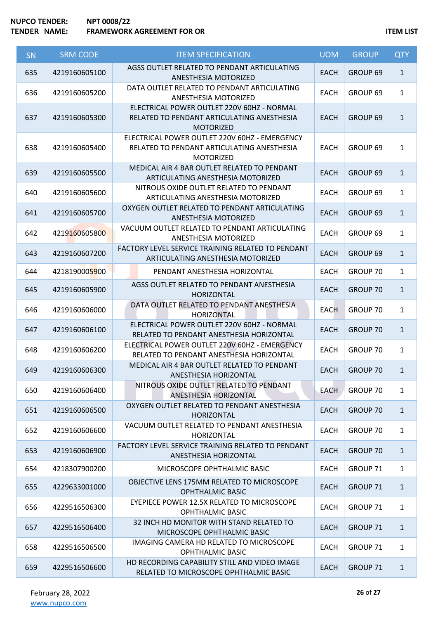| SN  | <b>SRM CODE</b> | <b>ITEM SPECIFICATION</b>                                                                                       | <b>UOM</b>  | <b>GROUP</b>        | <b>QTY</b>   |
|-----|-----------------|-----------------------------------------------------------------------------------------------------------------|-------------|---------------------|--------------|
| 635 | 4219160605100   | AGSS OUTLET RELATED TO PENDANT ARTICULATING<br>ANESTHESIA MOTORIZED                                             | <b>EACH</b> | GROUP <sub>69</sub> | $\mathbf{1}$ |
| 636 | 4219160605200   | DATA OUTLET RELATED TO PENDANT ARTICULATING<br>ANESTHESIA MOTORIZED                                             | <b>EACH</b> | GROUP 69            | $\mathbf{1}$ |
| 637 | 4219160605300   | ELECTRICAL POWER OUTLET 220V 60HZ - NORMAL<br>RELATED TO PENDANT ARTICULATING ANESTHESIA<br><b>MOTORIZED</b>    | <b>EACH</b> | GROUP <sub>69</sub> | $\mathbf{1}$ |
| 638 | 4219160605400   | ELECTRICAL POWER OUTLET 220V 60HZ - EMERGENCY<br>RELATED TO PENDANT ARTICULATING ANESTHESIA<br><b>MOTORIZED</b> | <b>EACH</b> | GROUP <sub>69</sub> | $\mathbf{1}$ |
| 639 | 4219160605500   | MEDICAL AIR 4 BAR OUTLET RELATED TO PENDANT<br>ARTICULATING ANESTHESIA MOTORIZED                                | <b>EACH</b> | GROUP 69            | $\mathbf{1}$ |
| 640 | 4219160605600   | NITROUS OXIDE OUTLET RELATED TO PENDANT<br>ARTICULATING ANESTHESIA MOTORIZED                                    | <b>EACH</b> | GROUP 69            | $\mathbf{1}$ |
| 641 | 4219160605700   | OXYGEN OUTLET RELATED TO PENDANT ARTICULATING<br><b>ANESTHESIA MOTORIZED</b>                                    | <b>EACH</b> | GROUP <sub>69</sub> | $\mathbf{1}$ |
| 642 | 4219160605800   | VACUUM OUTLET RELATED TO PENDANT ARTICULATING<br>ANESTHESIA MOTORIZED                                           | <b>EACH</b> | GROUP 69            | $\mathbf{1}$ |
| 643 | 4219160607200   | FACTORY LEVEL SERVICE TRAINING RELATED TO PENDANT<br>ARTICULATING ANESTHESIA MOTORIZED                          | <b>EACH</b> | GROUP 69            | $\mathbf{1}$ |
| 644 | 4218190005900   | PENDANT ANESTHESIA HORIZONTAL                                                                                   | <b>EACH</b> | GROUP 70            | $\mathbf{1}$ |
| 645 | 4219160605900   | AGSS OUTLET RELATED TO PENDANT ANESTHESIA<br><b>HORIZONTAL</b>                                                  | <b>EACH</b> | <b>GROUP 70</b>     | $\mathbf{1}$ |
| 646 | 4219160606000   | DATA OUTLET RELATED TO PENDANT ANESTHESIA<br><b>HORIZONTAL</b>                                                  | <b>EACH</b> | GROUP 70            | $\mathbf{1}$ |
| 647 | 4219160606100   | ELECTRICAL POWER OUTLET 220V 60HZ - NORMAL<br>RELATED TO PENDANT ANESTHESIA HORIZONTAL                          | <b>EACH</b> | GROUP 70            | $\mathbf{1}$ |
| 648 | 4219160606200   | ELECTRICAL POWER OUTLET 220V 60HZ - EMERGENCY<br>RELATED TO PENDANT ANESTHESIA HORIZONTAL                       | EACH        | GROUP 70            | $\mathbf{1}$ |
| 649 | 4219160606300   | MEDICAL AIR 4 BAR OUTLET RELATED TO PENDANT<br>ANESTHESIA HORIZONTAL                                            | <b>EACH</b> | <b>GROUP 70</b>     | $1\,$        |
| 650 | 4219160606400   | NITROUS OXIDE OUTLET RELATED TO PENDANT<br>ANESTHESIA HORIZONTAL                                                | <b>EACH</b> | GROUP 70            | $\mathbf{1}$ |
| 651 | 4219160606500   | OXYGEN OUTLET RELATED TO PENDANT ANESTHESIA<br><b>HORIZONTAL</b>                                                | <b>EACH</b> | <b>GROUP 70</b>     | $\mathbf{1}$ |
| 652 | 4219160606600   | VACUUM OUTLET RELATED TO PENDANT ANESTHESIA<br><b>HORIZONTAL</b>                                                | <b>EACH</b> | GROUP 70            | $\mathbf{1}$ |
| 653 | 4219160606900   | FACTORY LEVEL SERVICE TRAINING RELATED TO PENDANT<br>ANESTHESIA HORIZONTAL                                      | <b>EACH</b> | <b>GROUP 70</b>     | $\mathbf{1}$ |
| 654 | 4218307900200   | MICROSCOPE OPHTHALMIC BASIC                                                                                     | <b>EACH</b> | GROUP 71            | $\mathbf{1}$ |
| 655 | 4229633001000   | OBJECTIVE LENS 175MM RELATED TO MICROSCOPE<br><b>OPHTHALMIC BASIC</b>                                           | <b>EACH</b> | <b>GROUP 71</b>     | $\mathbf{1}$ |
| 656 | 4229516506300   | EYEPIECE POWER 12.5X RELATED TO MICROSCOPE<br>OPHTHALMIC BASIC                                                  | <b>EACH</b> | GROUP 71            | $\mathbf{1}$ |
| 657 | 4229516506400   | 32 INCH HD MONITOR WITH STAND RELATED TO<br>MICROSCOPE OPHTHALMIC BASIC                                         | <b>EACH</b> | <b>GROUP 71</b>     | $\mathbf{1}$ |
| 658 | 4229516506500   | IMAGING CAMERA HD RELATED TO MICROSCOPE<br><b>OPHTHALMIC BASIC</b>                                              | <b>EACH</b> | GROUP 71            | $\mathbf{1}$ |
| 659 | 4229516506600   | HD RECORDING CAPABILITY STILL AND VIDEO IMAGE<br>RELATED TO MICROSCOPE OPHTHALMIC BASIC                         | <b>EACH</b> | GROUP 71            | $\mathbf{1}$ |